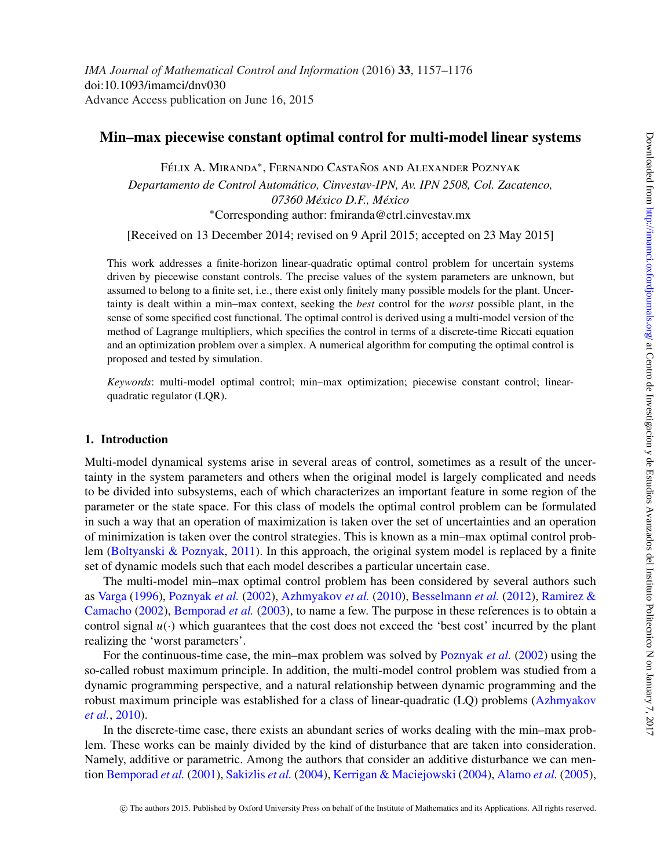# **Min–max piecewise constant optimal control for multi-model linear systems**

Félix A. Miranda<sup>∗</sup>, Fernando Castaños and Alexander Poznyak

*Departamento de Control Automático, Cinvestav-IPN, Av. IPN 2508, Col. Zacatenco, 07360 México D.F., México* <sup>∗</sup>Corresponding author: fmiranda@ctrl.cinvestav.mx

[Received on 13 December 2014; revised on 9 April 2015; accepted on 23 May 2015]

This work addresses a finite-horizon linear-quadratic optimal control problem for uncertain systems driven by piecewise constant controls. The precise values of the system parameters are unknown, but assumed to belong to a finite set, i.e., there exist only finitely many possible models for the plant. Uncertainty is dealt within a min–max context, seeking the *best* control for the *worst* possible plant, in the sense of some specified cost functional. The optimal control is derived using a multi-model version of the method of Lagrange multipliers, which specifies the control in terms of a discrete-time Riccati equation and an optimization problem over a simplex. A numerical algorithm for computing the optimal control is proposed and tested by simulation.

*Keywords*: multi-model optimal control; min–max optimization; piecewise constant control; linearquadratic regulator (LQR).

## **1. Introduction**

Multi-model dynamical systems arise in several areas of control, sometimes as a result of the uncertainty in the system parameters and others when the original model is largely complicated and needs to be divided into subsystems, each of which characterizes an important feature in some region of the parameter or the state space. For this class of models the optimal control problem can be formulated in such a way that an operation of maximization is taken over the set of uncertainties and an operation of minimization is taken over the control strategies. This is known as a min–max optimal control problem [\(Boltyanski & Poznyak,](#page-17-0) [2011\)](#page-17-0). In this approach, the original system model is replaced by a finite set of dynamic models such that each model describes a particular uncertain case.

The multi-model min–max optimal control problem has been considered by several authors such as [Varga](#page-18-0) [\(1996\)](#page-18-0), [Poznyak](#page-18-1) *et al.* [\(2002\)](#page-18-1), [Azhmyakov](#page-17-1) *et al.* [\(2010\)](#page-17-1), [Besselmann](#page-17-2) *et al.* [\(2012\)](#page-17-2), Ramirez & Camacho [\(2002\)](#page-18-2), [Bemporad](#page-17-3) *et al.* [\(2003\)](#page-17-3), to name a few. The purpose in these references is to obtain a control signal  $u(\cdot)$  which guarantees that the cost does not exceed the 'best cost' incurred by the plant realizing the 'worst parameters'.

For the continuous-time case, the min–max problem was solved by [Poznyak](#page-18-1) *et al.* [\(2002\)](#page-18-1) using the so-called robust maximum principle. In addition, the multi-model control problem was studied from a dynamic programming perspective, and a natural relationship between dynamic programming and the robust maximum principle was established for a class of linear-quadratic (LQ) problems (Azhmyakov *et al.*, [2010\)](#page-17-1).

In the discrete-time case, there exists an abundant series of works dealing with the min–max problem. These works can be mainly divided by the kind of disturbance that are taken into consideration. Namely, additive or parametric. Among the authors that consider an additive disturbance we can mention [Bemporad](#page-17-4) *et al.* [\(2001\)](#page-17-4), [Sakizlis](#page-18-3) *et al.* [\(2004\)](#page-18-3), [Kerrigan & Maciejowski](#page-17-5) [\(2004\)](#page-17-5), [Alamo](#page-17-6) *et al.* [\(2005\)](#page-17-6),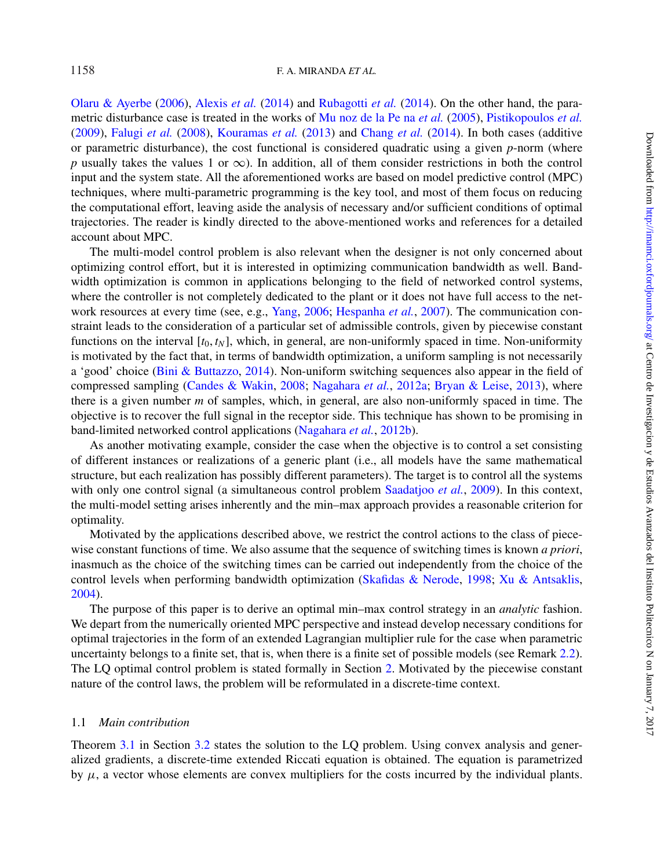[Olaru & Ayerbe](#page-18-4) [\(2006\)](#page-18-4), [Alexis](#page-17-7) *et al.* [\(2014\)](#page-17-7) and [Rubagotti](#page-18-5) *et al.* [\(2014\)](#page-18-5). On the other hand, the parametric disturbance case is treated in the works of [Mu noz de la Pe na](#page-17-8) *et al.* [\(2005\)](#page-17-8), [Pistikopoulos](#page-18-6) *et al.* [\(2009\)](#page-18-6), [Falugi](#page-17-9) *et al.* [\(2008\)](#page-17-9), [Kouramas](#page-17-10) *et al.* [\(2013\)](#page-17-10) and [Chang](#page-17-11) *et al.* [\(2014\)](#page-17-11). In both cases (additive or parametric disturbance), the cost functional is considered quadratic using a given *p*-norm (where *p* usually takes the values 1 or  $\infty$ ). In addition, all of them consider restrictions in both the control input and the system state. All the aforementioned works are based on model predictive control (MPC) techniques, where multi-parametric programming is the key tool, and most of them focus on reducing the computational effort, leaving aside the analysis of necessary and/or sufficient conditions of optimal trajectories. The reader is kindly directed to the above-mentioned works and references for a detailed account about MPC.

The multi-model control problem is also relevant when the designer is not only concerned about optimizing control effort, but it is interested in optimizing communication bandwidth as well. Bandwidth optimization is common in applications belonging to the field of networked control systems, where the controller is not completely dedicated to the plant or it does not have full access to the network resources at every time (see, e.g., [Yang,](#page-18-7) [2006;](#page-18-7) [Hespanha](#page-17-12) *et al.*, [2007\)](#page-17-12). The communication constraint leads to the consideration of a particular set of admissible controls, given by piecewise constant functions on the interval  $[t_0, t_N]$ , which, in general, are non-uniformly spaced in time. Non-uniformity is motivated by the fact that, in terms of bandwidth optimization, a uniform sampling is not necessarily a 'good' choice [\(Bini & Buttazzo,](#page-17-13) [2014\)](#page-17-13). Non-uniform switching sequences also appear in the field of compressed sampling [\(Candes & Wakin,](#page-17-14) [2008;](#page-17-14) [Nagahara](#page-18-8) *et al.*, [2012a;](#page-18-8) [Bryan & Leise,](#page-17-15) [2013\)](#page-17-15), where there is a given number *m* of samples, which, in general, are also non-uniformly spaced in time. The objective is to recover the full signal in the receptor side. This technique has shown to be promising in band-limited networked control applications [\(Nagahara](#page-18-9) *et al.*, [2012b\)](#page-18-9).

As another motivating example, consider the case when the objective is to control a set consisting of different instances or realizations of a generic plant (i.e., all models have the same mathematical structure, but each realization has possibly different parameters). The target is to control all the systems with only one control signal (a simultaneous control problem [Saadatjoo](#page-18-10) *et al.*, [2009\)](#page-18-10). In this context, the multi-model setting arises inherently and the min–max approach provides a reasonable criterion for optimality.

Motivated by the applications described above, we restrict the control actions to the class of piecewise constant functions of time. We also assume that the sequence of switching times is known *a priori*, inasmuch as the choice of the switching times can be carried out independently from the choice of the control levels when performing bandwidth optimization [\(Skafidas & Nerode,](#page-18-11) [1998;](#page-18-11) [Xu & Antsaklis,](#page-18-12) [2004\)](#page-18-12).

The purpose of this paper is to derive an optimal min–max control strategy in an *analytic* fashion. We depart from the numerically oriented MPC perspective and instead develop necessary conditions for optimal trajectories in the form of an extended Lagrangian multiplier rule for the case when parametric uncertainty belongs to a finite set, that is, when there is a finite set of possible models (see Remark [2.2\)](#page-3-0). The LQ optimal control problem is stated formally in Section [2.](#page-2-0) Motivated by the piecewise constant nature of the control laws, the problem will be reformulated in a discrete-time context.

## 1.1 *Main contribution*

Theorem [3.1](#page-7-0) in Section [3.2](#page-7-1) states the solution to the LQ problem. Using convex analysis and generalized gradients, a discrete-time extended Riccati equation is obtained. The equation is parametrized by  $\mu$ , a vector whose elements are convex multipliers for the costs incurred by the individual plants.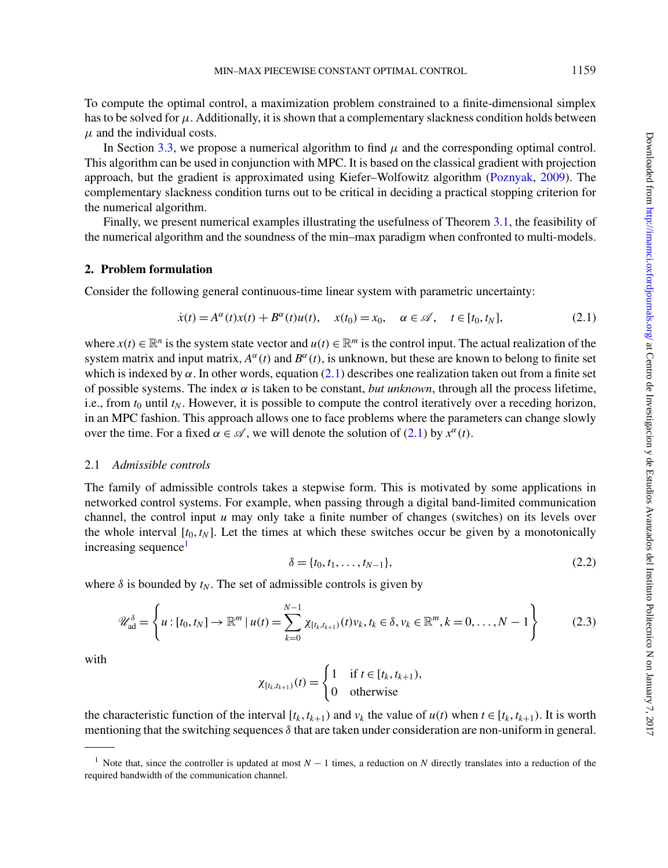To compute the optimal control, a maximization problem constrained to a finite-dimensional simplex has to be solved for  $\mu$ . Additionally, it is shown that a complementary slackness condition holds between  $\mu$  and the individual costs.

In Section [3.3,](#page-10-0) we propose a numerical algorithm to find  $\mu$  and the corresponding optimal control. This algorithm can be used in conjunction with MPC. It is based on the classical gradient with projection approach, but the gradient is approximated using Kiefer–Wolfowitz algorithm [\(Poznyak,](#page-18-13) [2009\)](#page-18-13). The complementary slackness condition turns out to be critical in deciding a practical stopping criterion for the numerical algorithm.

Finally, we present numerical examples illustrating the usefulness of Theorem [3.1,](#page-7-0) the feasibility of the numerical algorithm and the soundness of the min–max paradigm when confronted to multi-models.

### <span id="page-2-0"></span>**2. Problem formulation**

Consider the following general continuous-time linear system with parametric uncertainty:

<span id="page-2-1"></span>
$$
\dot{x}(t) = A^{\alpha}(t)x(t) + B^{\alpha}(t)u(t), \quad x(t_0) = x_0, \quad \alpha \in \mathcal{A}, \quad t \in [t_0, t_N],
$$
\n(2.1)

where  $x(t) \in \mathbb{R}^n$  is the system state vector and  $u(t) \in \mathbb{R}^m$  is the control input. The actual realization of the system matrix and input matrix,  $A^{\alpha}(t)$  and  $B^{\alpha}(t)$ , is unknown, but these are known to belong to finite set which is indexed by  $\alpha$ . In other words, equation [\(2.1\)](#page-2-1) describes one realization taken out from a finite set of possible systems. The index  $\alpha$  is taken to be constant, *but unknown*, through all the process lifetime, i.e., from  $t_0$  until  $t_N$ . However, it is possible to compute the control iteratively over a receding horizon, in an MPC fashion. This approach allows one to face problems where the parameters can change slowly over the time. For a fixed  $\alpha \in \mathcal{A}$ , we will denote the solution of [\(2.1\)](#page-2-1) by  $x^{\alpha}(t)$ .

### 2.1 *Admissible controls*

The family of admissible controls takes a stepwise form. This is motivated by some applications in networked control systems. For example, when passing through a digital band-limited communication channel, the control input  $u$  may only take a finite number of changes (switches) on its levels over the whole interval  $[t_0, t_N]$ . Let the times at which these switches occur be given by a monotonically increasing sequence<sup>1</sup>

<span id="page-2-3"></span>
$$
\delta = \{t_0, t_1, \dots, t_{N-1}\},\tag{2.2}
$$

where  $\delta$  is bounded by  $t_N$ . The set of admissible controls is given by

<span id="page-2-4"></span>
$$
\mathscr{U}_{\text{ad}}^{\delta} = \left\{ u : [t_0, t_N] \to \mathbb{R}^m \mid u(t) = \sum_{k=0}^{N-1} \chi_{[t_k, t_{k+1})}(t) v_k, t_k \in \delta, v_k \in \mathbb{R}^m, k = 0, \dots, N-1 \right\}
$$
(2.3)

with

 $\chi_{[t_k, t_{k+1})}(t) =$  $\int 1$  if  $t \in [t_k, t_{k+1}),$ 0 otherwise

the characteristic function of the interval  $[t_k, t_{k+1})$  and  $v_k$  the value of  $u(t)$  when  $t \in [t_k, t_{k+1})$ . It is worth mentioning that the switching sequences  $\delta$  that are taken under consideration are non-uniform in general.

<span id="page-2-2"></span><sup>1</sup> Note that, since the controller is updated at most *N* − 1 times, a reduction on *N* directly translates into a reduction of the required bandwidth of the communication channel.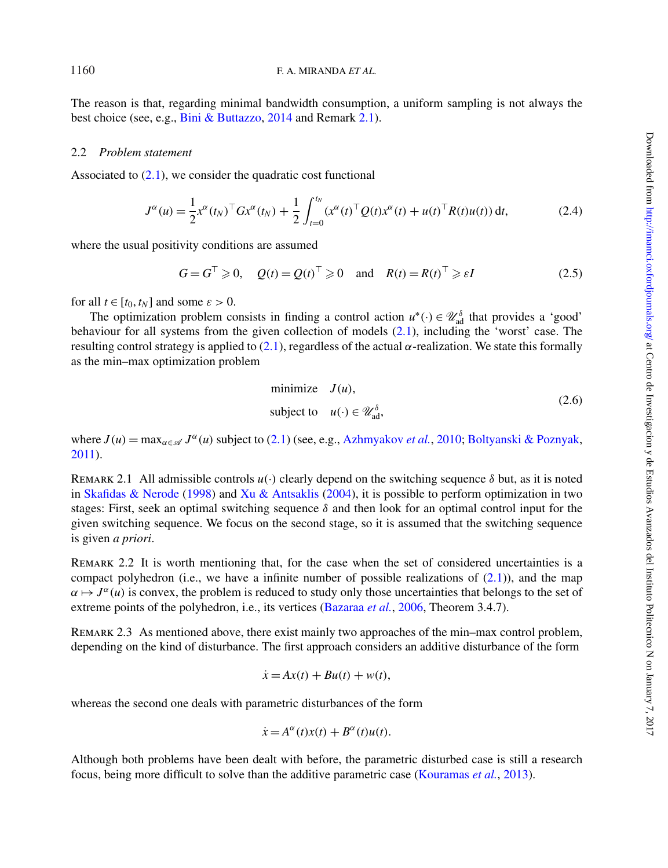The reason is that, regarding minimal bandwidth consumption, a uniform sampling is not always the best choice (see, e.g., [Bini & Buttazzo,](#page-17-13) [2014](#page-17-13) and Remark [2.1\)](#page-3-1).

### 2.2 *Problem statement*

Associated to  $(2.1)$ , we consider the quadratic cost functional

<span id="page-3-3"></span>
$$
J^{\alpha}(u) = \frac{1}{2} x^{\alpha}(t_N)^{\top} G x^{\alpha}(t_N) + \frac{1}{2} \int_{t=0}^{t_N} (x^{\alpha}(t)^{\top} Q(t) x^{\alpha}(t) + u(t)^{\top} R(t) u(t)) dt,
$$
 (2.4)

where the usual positivity conditions are assumed

<span id="page-3-4"></span>
$$
G = G^{\top} \geq 0, \quad Q(t) = Q(t)^{\top} \geq 0 \quad \text{and} \quad R(t) = R(t)^{\top} \geq \varepsilon I \tag{2.5}
$$

for all  $t \in [t_0, t_N]$  and some  $\varepsilon > 0$ .

The optimization problem consists in finding a control action  $u^*(\cdot) \in \mathcal{U}_{ad}^{\delta}$  that provides a 'good' behaviour for all systems from the given collection of models [\(2.1\)](#page-2-1), including the 'worst' case. The resulting control strategy is applied to [\(2.1\)](#page-2-1), regardless of the actual  $\alpha$ -realization. We state this formally as the min–max optimization problem

<span id="page-3-2"></span>minimize 
$$
J(u)
$$
,  
subject to  $u(\cdot) \in \mathcal{U}_{ad}^{\delta}$ , (2.6)

<span id="page-3-1"></span>where  $J(u) = \max_{\alpha \in \mathcal{A}} J^{\alpha}(u)$  subject to [\(2.1\)](#page-2-1) (see, e.g., [Azhmyakov](#page-17-1) *et al.*, [2010;](#page-17-1) [Boltyanski & Poznyak,](#page-17-0) [2011\)](#page-17-0).

REMARK 2.1 All admissible controls  $u(\cdot)$  clearly depend on the switching sequence  $\delta$  but, as it is noted in [Skafidas & Nerode](#page-18-11) [\(1998\)](#page-18-11) and [Xu & Antsaklis](#page-18-12) [\(2004\)](#page-18-12), it is possible to perform optimization in two stages: First, seek an optimal switching sequence  $\delta$  and then look for an optimal control input for the given switching sequence. We focus on the second stage, so it is assumed that the switching sequence is given *a priori*.

<span id="page-3-0"></span>Remark 2.2 It is worth mentioning that, for the case when the set of considered uncertainties is a compact polyhedron (i.e., we have a infinite number of possible realizations of  $(2.1)$ ), and the map  $\alpha \mapsto J^{\alpha}(u)$  is convex, the problem is reduced to study only those uncertainties that belongs to the set of extreme points of the polyhedron, i.e., its vertices [\(Bazaraa](#page-17-16) *et al.*, [2006,](#page-17-16) Theorem 3.4.7).

Remark 2.3 As mentioned above, there exist mainly two approaches of the min–max control problem, depending on the kind of disturbance. The first approach considers an additive disturbance of the form

$$
\dot{x} = Ax(t) + Bu(t) + w(t),
$$

whereas the second one deals with parametric disturbances of the form

$$
\dot{x} = A^{\alpha}(t)x(t) + B^{\alpha}(t)u(t).
$$

Although both problems have been dealt with before, the parametric disturbed case is still a research focus, being more difficult to solve than the additive parametric case [\(Kouramas](#page-17-10) *et al.*, [2013\)](#page-17-10).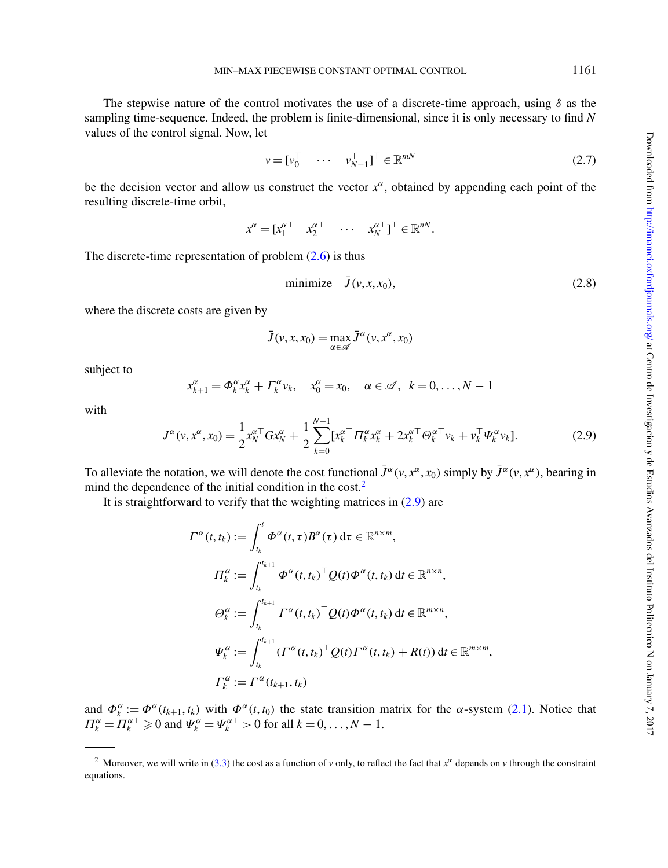The stepwise nature of the control motivates the use of a discrete-time approach, using  $\delta$  as the sampling time-sequence. Indeed, the problem is finite-dimensional, since it is only necessary to find *N* values of the control signal. Now, let

$$
v = [v_0^\top \quad \cdots \quad v_{N-1}^\top]^\top \in \mathbb{R}^{mN} \tag{2.7}
$$

be the decision vector and allow us construct the vector  $x^{\alpha}$ , obtained by appending each point of the resulting discrete-time orbit,

 $x^{\alpha} = [x_1^{\alpha \top} \quad x_2^{\alpha \top} \quad \cdots \quad x_N^{\alpha \top}]^{\top} \in \mathbb{R}^{nN}.$ 

The discrete-time representation of problem  $(2.6)$  is thus

<span id="page-4-2"></span>
$$
\text{minimize} \quad \bar{J}(v, x, x_0),\tag{2.8}
$$

where the discrete costs are given by

$$
\bar{J}(v, x, x_0) = \max_{\alpha \in \mathscr{A}} \bar{J}^{\alpha}(v, x^{\alpha}, x_0)
$$

subject to

$$
x_{k+1}^{\alpha} = \Phi_k^{\alpha} x_k^{\alpha} + \Gamma_k^{\alpha} v_k, \quad x_0^{\alpha} = x_0, \quad \alpha \in \mathcal{A}, \quad k = 0, \dots, N-1
$$

with

<span id="page-4-1"></span>
$$
J^{\alpha}(v, x^{\alpha}, x_0) = \frac{1}{2} x_N^{\alpha \top} G x_N^{\alpha} + \frac{1}{2} \sum_{k=0}^{N-1} [x_k^{\alpha \top} \Pi_k^{\alpha} x_k^{\alpha} + 2x_k^{\alpha \top} \Theta_k^{\alpha \top} v_k + v_k^{\top} \Psi_k^{\alpha} v_k].
$$
 (2.9)

To alleviate the notation, we will denote the cost functional  $\bar{J}^{\alpha}(v, x^{\alpha}, x_0)$  simply by  $\bar{J}^{\alpha}(v, x^{\alpha})$ , bearing in mind the dependence of the initial condition in the cost.<sup>2</sup>

It is straightforward to verify that the weighting matrices in  $(2.9)$  are

$$
\Gamma^{\alpha}(t,t_{k}) := \int_{t_{k}}^{t} \Phi^{\alpha}(t,\tau) B^{\alpha}(\tau) d\tau \in \mathbb{R}^{n \times m},
$$
  
\n
$$
\Pi_{k}^{\alpha} := \int_{t_{k}}^{t_{k+1}} \Phi^{\alpha}(t,t_{k})^{\top} Q(t) \Phi^{\alpha}(t,t_{k}) dt \in \mathbb{R}^{n \times n},
$$
  
\n
$$
\Theta_{k}^{\alpha} := \int_{t_{k}}^{t_{k+1}} \Gamma^{\alpha}(t,t_{k})^{\top} Q(t) \Phi^{\alpha}(t,t_{k}) dt \in \mathbb{R}^{m \times n},
$$
  
\n
$$
\Psi_{k}^{\alpha} := \int_{t_{k}}^{t_{k+1}} (\Gamma^{\alpha}(t,t_{k})^{\top} Q(t) \Gamma^{\alpha}(t,t_{k}) + R(t)) dt \in \mathbb{R}^{m \times m},
$$
  
\n
$$
\Gamma_{k}^{\alpha} := \Gamma^{\alpha}(t_{k+1},t_{k})
$$

and  $\Phi_k^{\alpha} := \Phi^{\alpha}(t_{k+1}, t_k)$  with  $\Phi^{\alpha}(t, t_0)$  the state transition matrix for the  $\alpha$ -system [\(2.1\)](#page-2-1). Notice that  $\Pi_k^{\alpha} = \overline{\Pi_k^{\alpha}} \ge 0$  and  $\Psi_k^{\alpha} = \Psi_k^{\alpha}$ <sup> $\top > 0$ </sup> for all  $k = 0, \ldots, N - 1$ .

<span id="page-4-0"></span><sup>2</sup> Moreover, we will write in [\(3.3\)](#page-5-0) the cost as a function of *v* only, to reflect the fact that *x*<sup>α</sup> depends on *v* through the constraint equations.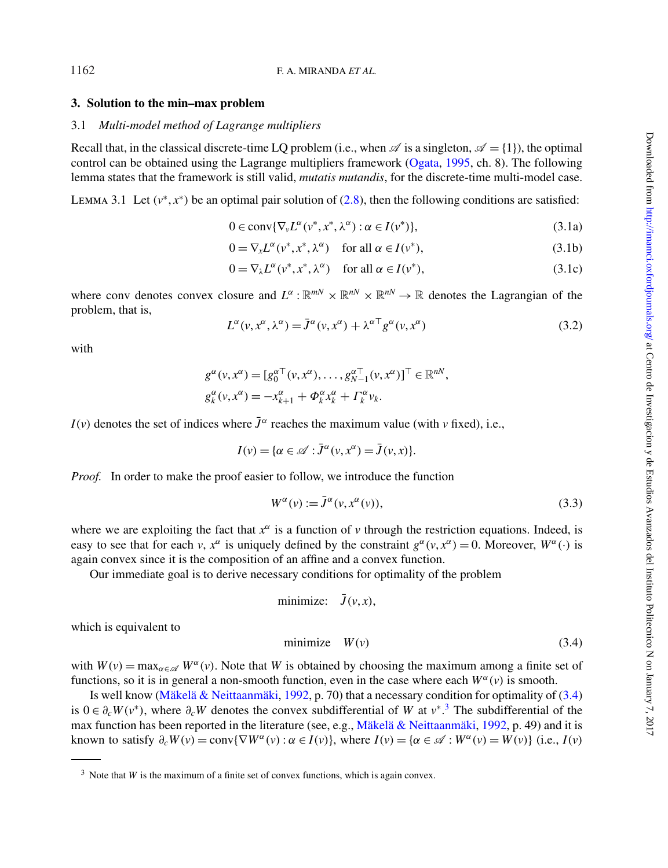## **3. Solution to the min–max problem**

## 3.1 *Multi-model method of Lagrange multipliers*

Recall that, in the classical discrete-time LQ problem (i.e., when  $\mathscr A$  is a singleton,  $\mathscr A = \{1\}$ ), the optimal control can be obtained using the Lagrange multipliers framework [\(Ogata,](#page-18-14) [1995,](#page-18-14) ch. 8). The following lemma states that the framework is still valid, *mutatis mutandis*, for the discrete-time multi-model case.

<span id="page-5-7"></span>LEMMA 3.1 Let  $(v^*, x^*)$  be an optimal pair solution of [\(2.8\)](#page-4-2), then the following conditions are satisfied:

<span id="page-5-8"></span><span id="page-5-5"></span><span id="page-5-4"></span>
$$
0 \in \operatorname{conv}\{\nabla_{\nu}L^{\alpha}(\nu^*, \chi^*, \lambda^{\alpha}) : \alpha \in I(\nu^*)\},\tag{3.1a}
$$

$$
0 = \nabla_x L^{\alpha}(v^*, x^*, \lambda^{\alpha}) \quad \text{for all } \alpha \in I(v^*), \tag{3.1b}
$$

<span id="page-5-6"></span>
$$
0 = \nabla_{\lambda} L^{\alpha}(\nu^*, x^*, \lambda^{\alpha}) \quad \text{for all } \alpha \in I(\nu^*), \tag{3.1c}
$$

where conv denotes convex closure and  $L^{\alpha}$ :  $\mathbb{R}^{mN} \times \mathbb{R}^{nN} \times \mathbb{R}^{n}$  denotes the Lagrangian of the problem, that is,

<span id="page-5-3"></span>
$$
L^{\alpha}(v, x^{\alpha}, \lambda^{\alpha}) = \bar{J}^{\alpha}(v, x^{\alpha}) + \lambda^{\alpha \top} g^{\alpha}(v, x^{\alpha})
$$
\n(3.2)

with

$$
g^{\alpha}(v, x^{\alpha}) = [g_0^{\alpha \top}(v, x^{\alpha}), \dots, g_{N-1}^{\alpha \top}(v, x^{\alpha})]^{\top} \in \mathbb{R}^{N},
$$
  

$$
g_k^{\alpha}(v, x^{\alpha}) = -x_{k+1}^{\alpha} + \Phi_k^{\alpha} x_k^{\alpha} + \Gamma_k^{\alpha} v_k.
$$

*I*(*v*) denotes the set of indices where  $\bar{J}^{\alpha}$  reaches the maximum value (with *v* fixed), i.e.,

$$
I(v) = \{ \alpha \in \mathscr{A} : \bar{J}^{\alpha}(v, x^{\alpha}) = \bar{J}(v, x) \}.
$$

*Proof.* In order to make the proof easier to follow, we introduce the function

<span id="page-5-0"></span>
$$
W^{\alpha}(v) := \bar{J}^{\alpha}(v, x^{\alpha}(v)), \qquad (3.3)
$$

where we are exploiting the fact that  $x^{\alpha}$  is a function of *v* through the restriction equations. Indeed, is easy to see that for each *v*,  $x^{\alpha}$  is uniquely defined by the constraint  $g^{\alpha}(v, x^{\alpha}) = 0$ . Moreover,  $W^{\alpha}(v)$  is again convex since it is the composition of an affine and a convex function.

Our immediate goal is to derive necessary conditions for optimality of the problem

$$
minimize: \bar{J}(v, x),
$$

which is equivalent to

<span id="page-5-1"></span>
$$
minimize \tW(v) \t(3.4)
$$

with  $W(v) = \max_{\alpha \in \mathscr{A}} W^{\alpha}(v)$ . Note that *W* is obtained by choosing the maximum among a finite set of functions, so it is in general a non-smooth function, even in the case where each  $W^{\alpha}(v)$  is smooth.

Is well know [\(Mäkelä & Neittaanmäki,](#page-17-17) [1992,](#page-17-17) p. 70) that a necessary condition for optimality of [\(3.4\)](#page-5-1) is  $0 \in \partial_c W(v^*)$ , where  $\partial_c W$  denotes the convex subdifferential of *W* at  $v^*$ .<sup>[3](#page-5-2)</sup> The subdifferential of the max function has been reported in the literature (see, e.g., [Mäkelä & Neittaanmäki,](#page-17-17) [1992,](#page-17-17) p. 49) and it is known to satisfy  $\partial_c W(v) = \text{conv}\{\nabla W^{\alpha}(v) : \alpha \in I(v)\}\)$ , where  $I(v) = \{\alpha \in \mathcal{A} : W^{\alpha}(v) = W(v)\}\$  (i.e.,  $I(v)$ )

1162

<span id="page-5-2"></span><sup>&</sup>lt;sup>3</sup> Note that *W* is the maximum of a finite set of convex functions, which is again convex.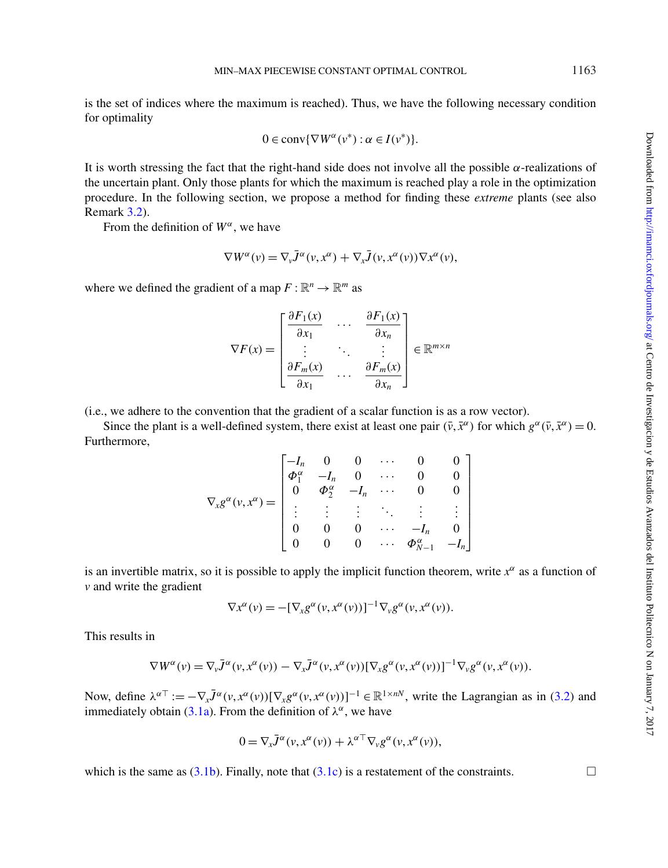Downloaded from http://mamci.oxfordjournals.org/ at Centro de Investigacion y de Estudios Avanzados del Instituto Politecnico N on Jamuary 7, 2017 Downloaded from <http://imamci.oxfordjournals.org/> at Centro de Investigacion y de Estudios Avanzados del Instituto Politecnico N on January 7, 2017

is the set of indices where the maximum is reached). Thus, we have the following necessary condition for optimality

$$
0 \in \operatorname{conv}\{\nabla W^{\alpha}(v^*): \alpha \in I(v^*)\}.
$$

It is worth stressing the fact that the right-hand side does not involve all the possible  $\alpha$ -realizations of the uncertain plant. Only those plants for which the maximum is reached play a role in the optimization procedure. In the following section, we propose a method for finding these *extreme* plants (see also Remark [3.2\)](#page-8-0).

From the definition of  $W^{\alpha}$ , we have

$$
\nabla W^{\alpha}(\nu) = \nabla_{\nu} \bar{J}^{\alpha}(\nu, x^{\alpha}) + \nabla_{x} \bar{J}(\nu, x^{\alpha}(\nu)) \nabla x^{\alpha}(\nu),
$$

where we defined the gradient of a map  $F : \mathbb{R}^n \to \mathbb{R}^m$  as

$$
\nabla F(x) = \begin{bmatrix} \frac{\partial F_1(x)}{\partial x_1} & \cdots & \frac{\partial F_1(x)}{\partial x_n} \\ \vdots & \ddots & \vdots \\ \frac{\partial F_m(x)}{\partial x_1} & \cdots & \frac{\partial F_m(x)}{\partial x_n} \end{bmatrix} \in \mathbb{R}^{m \times n}
$$

(i.e., we adhere to the convention that the gradient of a scalar function is as a row vector).

Since the plant is a well-defined system, there exist at least one pair  $(\bar{v}, \bar{x}^{\alpha})$  for which  $g^{\alpha}(\bar{v}, \bar{x}^{\alpha}) = 0$ . Furthermore,

$$
\nabla_{x}g^{\alpha}(v,x^{\alpha}) = \begin{bmatrix}\n-I_{n} & 0 & 0 & \cdots & 0 & 0 \\
\Phi_{1}^{\alpha} & -I_{n} & 0 & \cdots & 0 & 0 \\
0 & \Phi_{2}^{\alpha} & -I_{n} & \cdots & 0 & 0 \\
\vdots & \vdots & \vdots & \ddots & \vdots & \vdots \\
0 & 0 & 0 & \cdots & -I_{n} & 0 \\
0 & 0 & 0 & \cdots & \Phi_{N-1}^{\alpha} & -I_{n}\n\end{bmatrix}
$$

is an invertible matrix, so it is possible to apply the implicit function theorem, write  $x^{\alpha}$  as a function of *v* and write the gradient

$$
\nabla x^{\alpha}(v) = -[\nabla_x g^{\alpha}(v, x^{\alpha}(v))]^{-1} \nabla_v g^{\alpha}(v, x^{\alpha}(v)).
$$

This results in

$$
\nabla W^{\alpha}(v) = \nabla_{v} \bar{J}^{\alpha}(v, x^{\alpha}(v)) - \nabla_{x} \bar{J}^{\alpha}(v, x^{\alpha}(v)) [\nabla_{x} g^{\alpha}(v, x^{\alpha}(v))]^{-1} \nabla_{v} g^{\alpha}(v, x^{\alpha}(v)).
$$

Now, define  $\lambda^{\alpha}$ <sup>T</sup> :=  $-\nabla_{x} \bar{J}^{\alpha}(v, x^{\alpha}(v)) [\nabla_{x} g^{\alpha}(v, x^{\alpha}(v))]^{-1} \in \mathbb{R}^{1 \times n}$ , write the Lagrangian as in [\(3.2\)](#page-5-3) and immediately obtain [\(3.1a\)](#page-5-4). From the definition of  $\lambda^{\alpha}$ , we have

$$
0 = \nabla_x \overline{J}^\alpha(\nu, x^\alpha(\nu)) + \lambda^{\alpha \top} \nabla_\nu g^\alpha(\nu, x^\alpha(\nu)),
$$

which is the same as [\(3.1b\)](#page-5-5). Finally, note that [\(3.1c\)](#page-5-6) is a restatement of the constraints.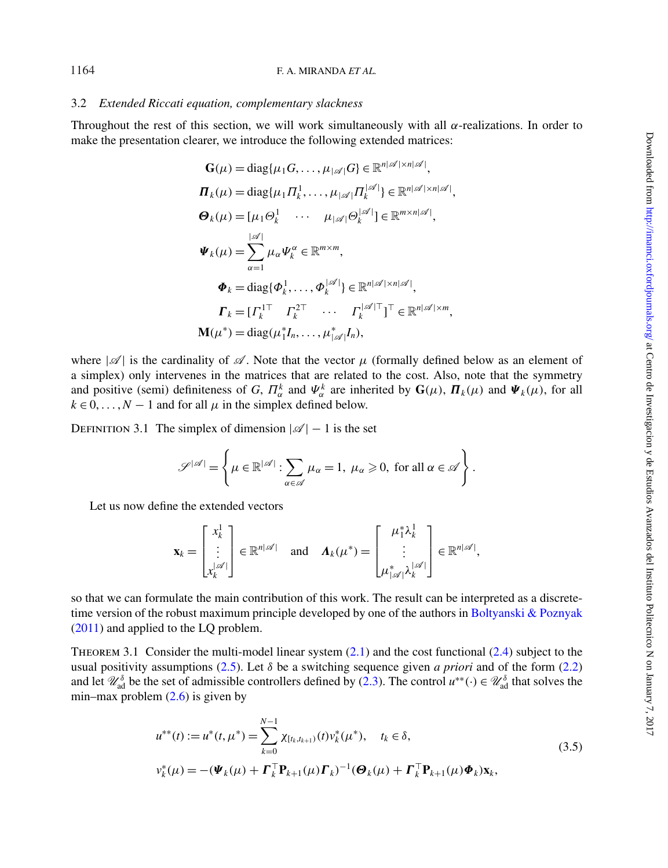#### F. A. MIRANDA *ET AL.*

### <span id="page-7-1"></span>3.2 *Extended Riccati equation, complementary slackness*

Throughout the rest of this section, we will work simultaneously with all α-realizations. In order to make the presentation clearer, we introduce the following extended matrices:

$$
\mathbf{G}(\mu) = \text{diag}\{\mu_1 G, \dots, \mu_{|\mathscr{A}|} G\} \in \mathbb{R}^{n|\mathscr{A}| \times n|\mathscr{A}|},
$$
\n
$$
\boldsymbol{\Pi}_k(\mu) = \text{diag}\{\mu_1 \Pi_k^1, \dots, \mu_{|\mathscr{A}|} \Pi_k^{|\mathscr{A}|}\} \in \mathbb{R}^{n|\mathscr{A}| \times n|\mathscr{A}|},
$$
\n
$$
\boldsymbol{\Theta}_k(\mu) = [\mu_1 \Theta_k^1 \cdots \mu_{|\mathscr{A}|} \Theta_k^{|\mathscr{A}|}] \in \mathbb{R}^{m \times n|\mathscr{A}|},
$$
\n
$$
\boldsymbol{\Psi}_k(\mu) = \sum_{\alpha=1}^{|\mathscr{A}|} \mu_\alpha \boldsymbol{\Psi}_k^{\alpha} \in \mathbb{R}^{m \times m},
$$
\n
$$
\boldsymbol{\Phi}_k = \text{diag}\{\boldsymbol{\Phi}_k^1, \dots, \boldsymbol{\Phi}_k^{|\mathscr{A}|}\} \in \mathbb{R}^{n|\mathscr{A}| \times n|\mathscr{A}|},
$$
\n
$$
\boldsymbol{\Gamma}_k = [\boldsymbol{\Gamma}_k^{1\top} \boldsymbol{\Gamma}_k^{2\top} \cdots \boldsymbol{\Gamma}_k^{|\mathscr{A}|\top}]^{\top} \in \mathbb{R}^{n|\mathscr{A}| \times m},
$$
\n
$$
\mathbf{M}(\mu^*) = \text{diag}(\mu_1^* I_n, \dots, \mu_{|\mathscr{A}|}^* I_n),
$$

where  $|\mathscr{A}|$  is the cardinality of  $\mathscr{A}$ . Note that the vector  $\mu$  (formally defined below as an element of a simplex) only intervenes in the matrices that are related to the cost. Also, note that the symmetry and positive (semi) definiteness of *G*,  $\Pi_{\alpha}^{k}$  and  $\Psi_{\alpha}^{k}$  are inherited by  $\mathbf{G}(\mu)$ ,  $\Pi_{k}(\mu)$  and  $\Psi_{k}(\mu)$ , for all  $k \in 0, \ldots, N-1$  and for all  $\mu$  in the simplex defined below.

DEFINITION 3.1 The simplex of dimension  $|\mathscr{A}| - 1$  is the set

$$
\mathscr{S}^{|\mathscr{A}|} = \left\{ \mu \in \mathbb{R}^{|\mathscr{A}|} : \sum_{\alpha \in \mathscr{A}} \mu_{\alpha} = 1, \ \mu_{\alpha} \geq 0, \text{ for all } \alpha \in \mathscr{A} \right\}.
$$

Let us now define the extended vectors

$$
\mathbf{x}_{k} = \begin{bmatrix} x_{k}^{1} \\ \vdots \\ x_{k}^{|\mathscr{A}|} \end{bmatrix} \in \mathbb{R}^{n|\mathscr{A}|} \quad \text{and} \quad \mathbf{\Lambda}_{k}(\mu^{*}) = \begin{bmatrix} \mu_{1}^{*} \lambda_{k}^{1} \\ \vdots \\ \mu_{|\mathscr{A}|}^{*} \lambda_{k}^{|\mathscr{A}|} \end{bmatrix} \in \mathbb{R}^{n|\mathscr{A}|},
$$

so that we can formulate the main contribution of this work. The result can be interpreted as a discrete-time version of the robust maximum principle developed by one of the authors in [Boltyanski & Poznyak](#page-17-0) [\(2011\)](#page-17-0) and applied to the LQ problem.

<span id="page-7-0"></span>THEOREM 3.1 Consider the multi-model linear system  $(2.1)$  and the cost functional  $(2.4)$  subject to the usual positivity assumptions [\(2.5\)](#page-3-4). Let  $\delta$  be a switching sequence given *a priori* and of the form [\(2.2\)](#page-2-3) and let  $\mathcal{U}_{ad}^{\delta}$  be the set of admissible controllers defined by [\(2.3\)](#page-2-4). The control  $u^{**}(\cdot) \in \mathcal{U}_{ad}^{\delta}$  that solves the min–max problem  $(2.6)$  is given by

<span id="page-7-2"></span>
$$
u^{**}(t) := u^{*}(t, \mu^{*}) = \sum_{k=0}^{N-1} \chi_{[t_{k}, t_{k+1})}(t) v_{k}^{*}(\mu^{*}), \quad t_{k} \in \delta,
$$
  

$$
v_{k}^{*}(\mu) = -(\Psi_{k}(\mu) + \Gamma_{k}^{\top} \mathbf{P}_{k+1}(\mu) \mathbf{\Gamma}_{k})^{-1} (\mathbf{\Theta}_{k}(\mu) + \Gamma_{k}^{\top} \mathbf{P}_{k+1}(\mu) \mathbf{\Phi}_{k}) \mathbf{x}_{k},
$$
\n(3.5)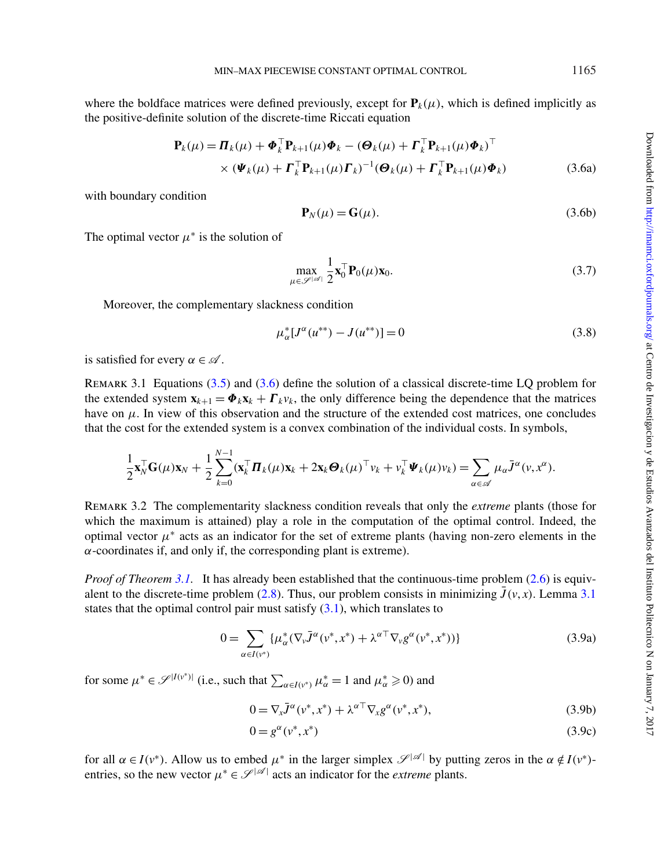where the boldface matrices were defined previously, except for  $P_k(\mu)$ , which is defined implicitly as the positive-definite solution of the discrete-time Riccati equation

$$
\mathbf{P}_{k}(\mu) = \boldsymbol{\Pi}_{k}(\mu) + \boldsymbol{\Phi}_{k}^{\top} \mathbf{P}_{k+1}(\mu) \boldsymbol{\Phi}_{k} - (\boldsymbol{\Theta}_{k}(\mu) + \boldsymbol{\Gamma}_{k}^{\top} \mathbf{P}_{k+1}(\mu) \boldsymbol{\Phi}_{k})^{\top} \times (\boldsymbol{\Psi}_{k}(\mu) + \boldsymbol{\Gamma}_{k}^{\top} \mathbf{P}_{k+1}(\mu) \boldsymbol{\Gamma}_{k})^{-1} (\boldsymbol{\Theta}_{k}(\mu) + \boldsymbol{\Gamma}_{k}^{\top} \mathbf{P}_{k+1}(\mu) \boldsymbol{\Phi}_{k})
$$
\n(3.6a)

with boundary condition

<span id="page-8-1"></span>
$$
\mathbf{P}_N(\mu) = \mathbf{G}(\mu). \tag{3.6b}
$$

The optimal vector  $\mu^*$  is the solution of

<span id="page-8-4"></span>
$$
\max_{\mu \in \mathscr{S}^{|\mathscr{A}|}} \frac{1}{2} \mathbf{x}_0^{\top} \mathbf{P}_0(\mu) \mathbf{x}_0.
$$
\n(3.7)

Moreover, the complementary slackness condition

<span id="page-8-5"></span>
$$
\mu_{\alpha}^*[J^{\alpha}(u^{**}) - J(u^{**})] = 0 \tag{3.8}
$$

<span id="page-8-3"></span>is satisfied for every  $\alpha \in \mathcal{A}$ .

Remark 3.1 Equations [\(3.5\)](#page-7-2) and [\(3.6\)](#page-8-1) define the solution of a classical discrete-time LQ problem for the extended system  $\mathbf{x}_{k+1} = \boldsymbol{\Phi}_k \mathbf{x}_k + \boldsymbol{\Gamma}_k \mathbf{v}_k$ , the only difference being the dependence that the matrices have on  $\mu$ . In view of this observation and the structure of the extended cost matrices, one concludes that the cost for the extended system is a convex combination of the individual costs. In symbols,

$$
\frac{1}{2}\mathbf{x}_N^\top \mathbf{G}(\mu)\mathbf{x}_N + \frac{1}{2}\sum_{k=0}^{N-1}(\mathbf{x}_k^\top \boldsymbol{\Pi}_k(\mu)\mathbf{x}_k + 2\mathbf{x}_k\boldsymbol{\Theta}_k(\mu)^\top v_k + v_k^\top \boldsymbol{\Psi}_k(\mu)v_k) = \sum_{\alpha \in \mathscr{A}}\mu_\alpha \bar{J}^{\alpha}(v, x^{\alpha}).
$$

<span id="page-8-0"></span>Remark 3.2 The complementarity slackness condition reveals that only the *extreme* plants (those for which the maximum is attained) play a role in the computation of the optimal control. Indeed, the optimal vector  $\mu^*$  acts as an indicator for the set of extreme plants (having non-zero elements in the  $\alpha$ -coordinates if, and only if, the corresponding plant is extreme).

*Proof of Theorem [3.1.](#page-7-0)* It has already been established that the continuous-time problem [\(2.6\)](#page-3-2) is equiv-alent to the discrete-time problem [\(2.8\)](#page-4-2). Thus, our problem consists in minimizing  $\bar{J}(v, x)$ . Lemma [3.1](#page-5-7) states that the optimal control pair must satisfy  $(3.1)$ , which translates to

$$
0 = \sum_{\alpha \in I(\nu^*)} \{ \mu^*_{\alpha} (\nabla_{\nu} \bar{J}^{\alpha}(\nu^*, x^*) + \lambda^{\alpha \top} \nabla_{\nu} g^{\alpha}(\nu^*, x^*)) \}
$$
(3.9a)

for some  $\mu^* \in \mathscr{S}^{|I(v^*)|}$  (i.e., such that  $\sum_{\alpha \in I(v^*)} \mu^*_{\alpha} = 1$  and  $\mu^*_{\alpha} \ge 0$ ) and

<span id="page-8-2"></span>
$$
0 = \nabla_x \overline{J}^\alpha(\nu^*, x^*) + \lambda^{\alpha \top} \nabla_x g^\alpha(\nu^*, x^*), \tag{3.9b}
$$

$$
0 = g^{\alpha}(v^*, x^*)
$$
\n<sup>(3.9c)</sup>

for all  $\alpha \in I(v^*)$ . Allow us to embed  $\mu^*$  in the larger simplex  $\mathscr{S}^{|\mathscr{A}|}$  by putting zeros in the  $\alpha \notin I(v^*)$ entries, so the new vector  $\mu^* \in \mathcal{S}^{|\mathcal{A}|}$  acts an indicator for the *extreme* plants.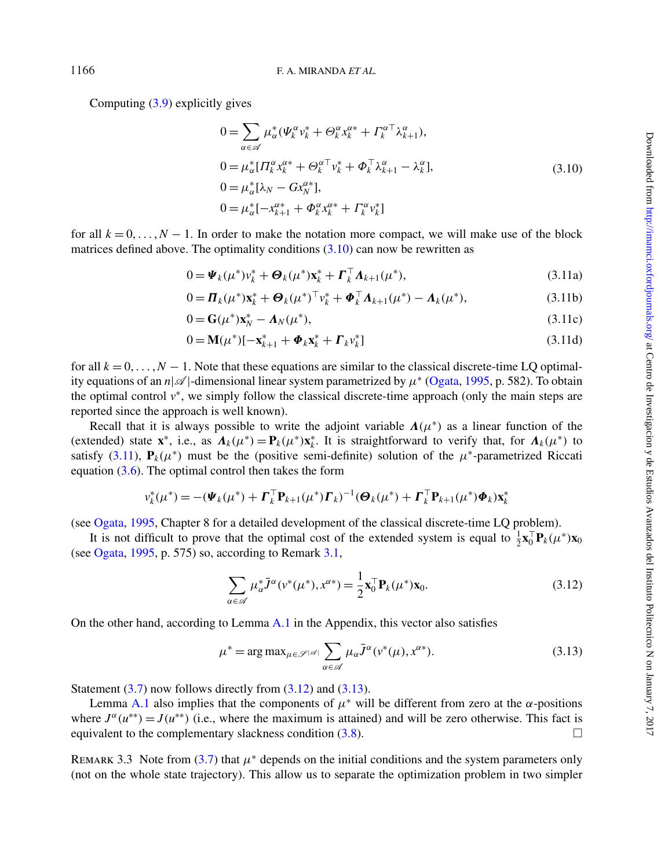Computing [\(3.9\)](#page-8-2) explicitly gives

<span id="page-9-1"></span><span id="page-9-0"></span>
$$
0 = \sum_{\alpha \in \mathscr{A}} \mu_{\alpha}^* (\Psi_k^{\alpha} v_k^* + \Theta_k^{\alpha} x_k^{\alpha*} + \Gamma_k^{\alpha \top} \lambda_{k+1}^{\alpha}),
$$
  
\n
$$
0 = \mu_{\alpha}^* [\Pi_k^{\alpha} x_k^{\alpha*} + \Theta_k^{\alpha \top} v_k^* + \Phi_k^{\top} \lambda_{k+1}^{\alpha} - \lambda_k^{\alpha}],
$$
  
\n
$$
0 = \mu_{\alpha}^* [\lambda_N - G x_N^{\alpha*}],
$$
  
\n
$$
0 = \mu_{\alpha}^* [-x_{k+1}^{\alpha*} + \Phi_k^{\alpha} x_k^{\alpha*} + \Gamma_k^{\alpha} v_k^*]
$$
  
\n(3.10)

for all  $k = 0, \ldots, N - 1$ . In order to make the notation more compact, we will make use of the block matrices defined above. The optimality conditions  $(3.10)$  can now be rewritten as

$$
0 = \boldsymbol{\Psi}_k(\boldsymbol{\mu}^*) \boldsymbol{\nu}_k^* + \boldsymbol{\Theta}_k(\boldsymbol{\mu}^*) \mathbf{x}_k^* + \boldsymbol{\Gamma}_k^\top \boldsymbol{\Lambda}_{k+1}(\boldsymbol{\mu}^*),
$$
\n(3.11a)

$$
0 = \mathbf{\Pi}_{k}(\mu^{*})\mathbf{x}_{k}^{*} + \mathbf{\Theta}_{k}(\mu^{*})^{\top}\mathbf{v}_{k}^{*} + \mathbf{\Phi}_{k}^{\top}\mathbf{\Lambda}_{k+1}(\mu^{*}) - \mathbf{\Lambda}_{k}(\mu^{*}),
$$
\n(3.11b)

$$
0 = \mathbf{G}(\mu^*) \mathbf{x}_N^* - \mathbf{\Lambda}_N(\mu^*), \tag{3.11c}
$$

$$
0 = \mathbf{M}(\mu^*)[-\mathbf{x}_{k+1}^* + \mathbf{\Phi}_k \mathbf{x}_k^* + \mathbf{\Gamma}_k \nu_k^*]
$$
(3.11d)

for all  $k = 0, \ldots, N - 1$ . Note that these equations are similar to the classical discrete-time LO optimality equations of an  $n|\mathscr{A}|$ -dimensional linear system parametrized by  $\mu^*$  [\(Ogata,](#page-18-14) [1995,](#page-18-14) p. 582). To obtain the optimal control  $v^*$ , we simply follow the classical discrete-time approach (only the main steps are reported since the approach is well known).

Recall that it is always possible to write the adjoint variable  $\Lambda(\mu^*)$  as a linear function of the (extended) state **x**<sup>\*</sup>, i.e., as  $\Lambda_k(\mu^*) = \mathbf{P}_k(\mu^*)\mathbf{x}_k^*$ . It is straightforward to verify that, for  $\Lambda_k(\mu^*)$  to satisfy [\(3.11\)](#page-9-1),  $P_k(\mu^*)$  must be the (positive semi-definite) solution of the  $\mu^*$ -parametrized Riccati equation  $(3.6)$ . The optimal control then takes the form

$$
v_k^*(\mu^*) = -(\boldsymbol{\Psi}_k(\mu^*) + \boldsymbol{\Gamma}_k^{\top} \mathbf{P}_{k+1}(\mu^*) \boldsymbol{\Gamma}_k)^{-1} (\boldsymbol{\Theta}_k(\mu^*) + \boldsymbol{\Gamma}_k^{\top} \mathbf{P}_{k+1}(\mu^*) \boldsymbol{\Phi}_k) \mathbf{x}_k^*
$$

(see [Ogata,](#page-18-14) [1995,](#page-18-14) Chapter 8 for a detailed development of the classical discrete-time LQ problem).

It is not difficult to prove that the optimal cost of the extended system is equal to  $\frac{1}{2} \mathbf{x}_0^T \mathbf{P}_k(\mu^*) \mathbf{x}_0$ (see [Ogata,](#page-18-14) [1995,](#page-18-14) p. 575) so, according to Remark [3.1,](#page-8-3)

<span id="page-9-2"></span>
$$
\sum_{\alpha \in \mathscr{A}} \mu_{\alpha}^* \bar{J}^{\alpha}(\nu^*(\mu^*), \mathbf{x}^{\alpha*}) = \frac{1}{2} \mathbf{x}_0^{\top} \mathbf{P}_k(\mu^*) \mathbf{x}_0.
$$
\n(3.12)

On the other hand, according to Lemma [A.1](#page-18-15) in the Appendix, this vector also satisfies

<span id="page-9-3"></span>
$$
\mu^* = \arg \max_{\mu \in \mathcal{S}^{|\mathcal{A}|}} \sum_{\alpha \in \mathcal{A}} \mu_{\alpha} \bar{J}^{\alpha}(\nu^*(\mu), \nu^{\alpha*}). \tag{3.13}
$$

Statement  $(3.7)$  now follows directly from  $(3.12)$  and  $(3.13)$ .

Lemma [A.1](#page-18-15) also implies that the components of  $\mu^*$  will be different from zero at the  $\alpha$ -positions where  $J^{\alpha}(u^{**}) = J(u^{**})$  (i.e., where the maximum is attained) and will be zero otherwise. This fact is equivalent to the complementary slackness condition  $(3.8)$ .

REMARK 3.3 Note from [\(3.7\)](#page-8-4) that  $\mu^*$  depends on the initial conditions and the system parameters only (not on the whole state trajectory). This allow us to separate the optimization problem in two simpler

1166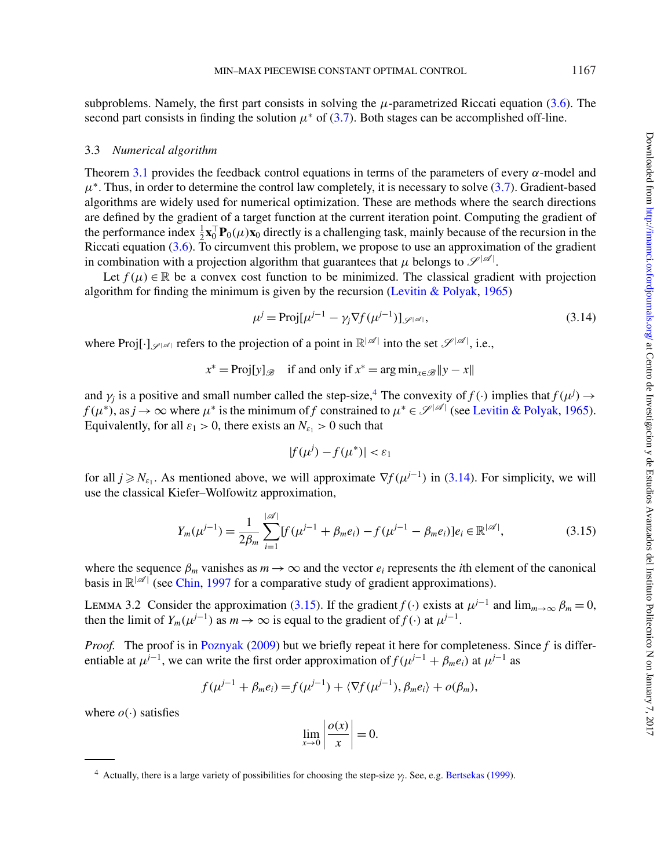subproblems. Namely, the first part consists in solving the  $\mu$ -parametrized Riccati equation [\(3.6\)](#page-8-1). The second part consists in finding the solution  $\mu^*$  of [\(3.7\)](#page-8-4). Both stages can be accomplished off-line.

### <span id="page-10-0"></span>3.3 *Numerical algorithm*

Theorem [3.1](#page-7-0) provides the feedback control equations in terms of the parameters of every  $\alpha$ -model and  $\mu^*$ . Thus, in order to determine the control law completely, it is necessary to solve [\(3.7\)](#page-8-4). Gradient-based algorithms are widely used for numerical optimization. These are methods where the search directions are defined by the gradient of a target function at the current iteration point. Computing the gradient of the performance index  $\frac{1}{2} \mathbf{x}_0^{\top} \mathbf{P}_0(\mu) \mathbf{x}_0$  directly is a challenging task, mainly because of the recursion in the Riccati equation [\(3.6\)](#page-8-1). To circumvent this problem, we propose to use an approximation of the gradient in combination with a projection algorithm that guarantees that  $\mu$  belongs to  $\mathscr{S}^{|\mathscr{A}|}$ .

Let  $f(\mu) \in \mathbb{R}$  be a convex cost function to be minimized. The classical gradient with projection algorithm for finding the minimum is given by the recursion [\(Levitin & Polyak,](#page-17-18) [1965\)](#page-17-18)

<span id="page-10-2"></span>
$$
\mu^j = \text{Proj}[\mu^{j-1} - \gamma_j \nabla f(\mu^{j-1})]_{\mathscr{S}^{|\mathscr{A}|}},\tag{3.14}
$$

where Proj $[\cdot]_{\mathscr{S}^{|\mathscr{A}|}}$  refers to the projection of a point in  $\mathbb{R}^{|\mathscr{A}|}$  into the set  $\mathscr{S}^{|\mathscr{A}|}$ , i.e.,

$$
x^* = \text{Proj}[y]_{\mathscr{B}} \quad \text{if and only if } x^* = \arg\min_{x \in \mathscr{B}} \|y - x\|
$$

and  $\gamma_j$  is a positive and small number called the step-size,<sup>4</sup> The convexity of  $f(\cdot)$  implies that  $f(\mu^j) \to$  $f(\mu^*)$ , as  $j \to \infty$  where  $\mu^*$  is the minimum of *f* constrained to  $\mu^* \in \mathcal{S}^{|\mathcal{A}|}$  (see [Levitin & Polyak,](#page-17-18) [1965\)](#page-17-18). Equivalently, for all  $\varepsilon_1 > 0$ , there exists an  $N_{\varepsilon_1} > 0$  such that

$$
|f(\mu^j) - f(\mu^*)| < \varepsilon_1
$$

for all  $j \ge N_{\varepsilon_1}$ . As mentioned above, we will approximate  $\nabla f(\mu^{j-1})$  in [\(3.14\)](#page-10-2). For simplicity, we will use the classical Kiefer–Wolfowitz approximation,

<span id="page-10-3"></span>
$$
Y_m(\mu^{j-1}) = \frac{1}{2\beta_m} \sum_{i=1}^{|\mathscr{A}|} [f(\mu^{j-1} + \beta_m e_i) - f(\mu^{j-1} - \beta_m e_i)]e_i \in \mathbb{R}^{|\mathscr{A}|},\tag{3.15}
$$

where the sequence  $\beta_m$  vanishes as  $m \to \infty$  and the vector  $e_i$  represents the *i*th element of the canonical basis in  $\mathbb{R}^{|\mathcal{A}|}$  (see [Chin,](#page-17-19) [1997](#page-17-19) for a comparative study of gradient approximations).

<span id="page-10-4"></span>LEMMA 3.2 Consider the approximation [\(3.15\)](#page-10-3). If the gradient *f* (·) exists at  $\mu^{j-1}$  and  $\lim_{m\to\infty} \beta_m = 0$ , then the limit of  $Y_m(\mu^{j-1})$  as  $m \to \infty$  is equal to the gradient of  $f(\cdot)$  at  $\mu^{j-1}$ .

*Proof.* The proof is in [Poznyak](#page-18-13) [\(2009\)](#page-18-13) but we briefly repeat it here for completeness. Since *f* is differentiable at  $\mu^{j-1}$ , we can write the first order approximation of  $f(\mu^{j-1} + \beta_m e_i)$  at  $\mu^{j-1}$  as

$$
f(\mu^{j-1} + \beta_m e_i) = f(\mu^{j-1}) + \langle \nabla f(\mu^{j-1}), \beta_m e_i \rangle + o(\beta_m),
$$

where  $o(\cdot)$  satisfies

$$
\lim_{x \to 0} \left| \frac{o(x)}{x} \right| = 0.
$$

<span id="page-10-1"></span><sup>&</sup>lt;sup>4</sup> Actually, there is a large variety of possibilities for choosing the step-size  $\gamma_i$ . See, e.g. [Bertsekas](#page-17-20) [\(1999\)](#page-17-20).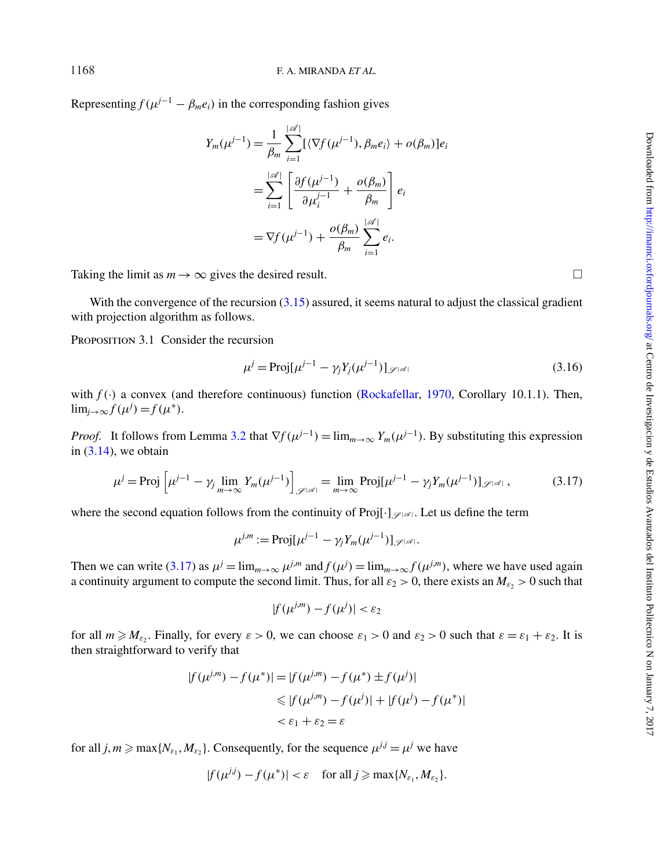Representing  $f(\mu^{j-1} - \beta_m e_i)$  in the corresponding fashion gives

$$
Y_m(\mu^{j-1}) = \frac{1}{\beta_m} \sum_{i=1}^{|\mathscr{A}|} [\langle \nabla f(\mu^{j-1}), \beta_m e_i \rangle + o(\beta_m)]e_i
$$
  

$$
= \sum_{i=1}^{|\mathscr{A}|} \left[ \frac{\partial f(\mu^{j-1})}{\partial \mu_i^{j-1}} + \frac{o(\beta_m)}{\beta_m} \right] e_i
$$
  

$$
= \nabla f(\mu^{j-1}) + \frac{o(\beta_m)}{\beta_m} \sum_{i=1}^{|\mathscr{A}|} e_i.
$$

Taking the limit as  $m \to \infty$  gives the desired result.

With the convergence of the recursion  $(3.15)$  assured, it seems natural to adjust the classical gradient with projection algorithm as follows.

PROPOSITION 3.1 Consider the recursion

<span id="page-11-1"></span>
$$
\mu^{j} = \text{Proj}[\mu^{j-1} - \gamma_{j} Y_{j}(\mu^{j-1})]_{\mathscr{S}^{|\mathscr{A}|}}
$$
\n(3.16)

with  $f(.)$  a convex (and therefore continuous) function [\(Rockafellar,](#page-18-16) [1970,](#page-18-16) Corollary 10.1.1). Then,  $\lim_{j\to\infty} f(\mu^j) = f(\mu^*).$ 

*Proof.* It follows from Lemma [3.2](#page-10-4) that  $\nabla f(\mu^{j-1}) = \lim_{m \to \infty} Y_m(\mu^{j-1})$ . By substituting this expression in  $(3.14)$ , we obtain

<span id="page-11-0"></span>
$$
\mu^{j} = \text{Proj} \left[ \mu^{j-1} - \gamma_{j} \lim_{m \to \infty} Y_{m}(\mu^{j-1}) \right]_{\mathscr{S}^{|\mathscr{A}|}} = \lim_{m \to \infty} \text{Proj}[\mu^{j-1} - \gamma_{j} Y_{m}(\mu^{j-1})]_{\mathscr{S}^{|\mathscr{A}|}},
$$
(3.17)

where the second equation follows from the continuity of Proj $[\cdot]_{\mathscr{S}[\mathscr{A}]}$ . Let us define the term

$$
\mu^{j,m} := \text{Proj}[\mu^{j-1} - \gamma_j Y_m(\mu^{j-1})]_{\mathscr{S}^{|\mathscr{A}|}}.
$$

Then we can write [\(3.17\)](#page-11-0) as  $\mu^{j} = \lim_{m \to \infty} \mu^{j,m}$  and  $f(\mu^{j}) = \lim_{m \to \infty} f(\mu^{j,m})$ , where we have used again a continuity argument to compute the second limit. Thus, for all  $\varepsilon_2 > 0$ , there exists an  $M_{\varepsilon_2} > 0$  such that

$$
|f(\mu^{j,m}) - f(\mu^j)| < \varepsilon_2
$$

for all  $m \ge M_{\varepsilon_2}$ . Finally, for every  $\varepsilon > 0$ , we can choose  $\varepsilon_1 > 0$  and  $\varepsilon_2 > 0$  such that  $\varepsilon = \varepsilon_1 + \varepsilon_2$ . It is then straightforward to verify that

$$
|f(\mu^{j,m}) - f(\mu^*)| = |f(\mu^{j,m}) - f(\mu^*) \pm f(\mu^j)|
$$
  
\$\leq |f(\mu^{j,m}) - f(\mu^j)| + |f(\mu^j) - f(\mu^\*)|\$  
 $< \varepsilon_1 + \varepsilon_2 = \varepsilon$ 

for all  $j, m \ge \max\{N_{\varepsilon_1}, M_{\varepsilon_2}\}$ . Consequently, for the sequence  $\mu^{j,j} = \mu^j$  we have

$$
|f(\mu^{jj}) - f(\mu^*)| < \varepsilon \quad \text{for all } j \geqslant \max\{N_{\varepsilon_1}, M_{\varepsilon_2}\}.
$$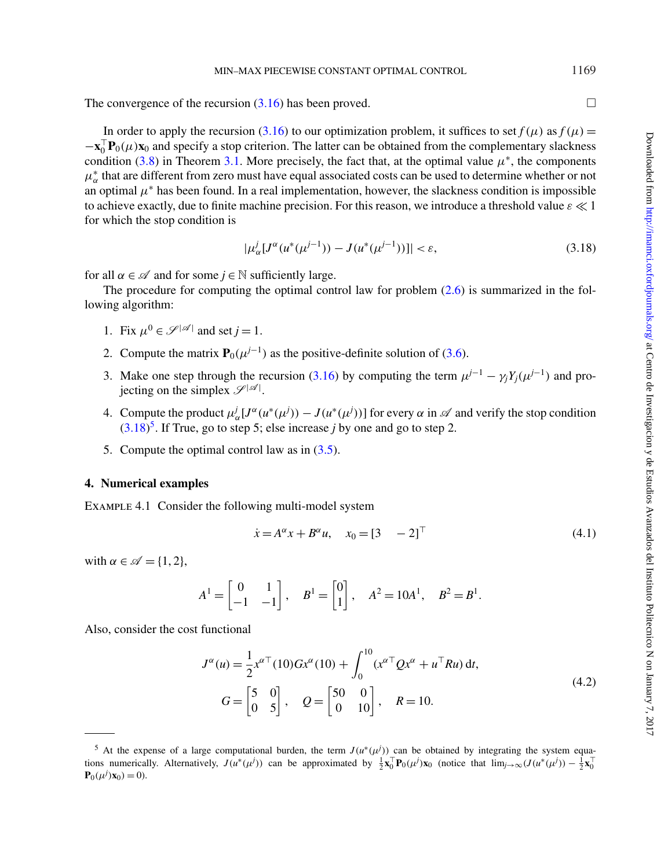The convergence of the recursion  $(3.16)$  has been proved.

In order to apply the recursion [\(3.16\)](#page-11-1) to our optimization problem, it suffices to set  $f(\mu)$  as  $f(\mu)$  =  $-\mathbf{x}_0^{\top} \mathbf{P}_0(\mu) \mathbf{x}_0$  and specify a stop criterion. The latter can be obtained from the complementary slackness condition [\(3.8\)](#page-8-5) in Theorem [3.1.](#page-7-0) More precisely, the fact that, at the optimal value  $\mu^*$ , the components  $\mu_{\alpha}^{*}$  that are different from zero must have equal associated costs can be used to determine whether or not an optimal  $\mu^*$  has been found. In a real implementation, however, the slackness condition is impossible to achieve exactly, due to finite machine precision. For this reason, we introduce a threshold value  $\varepsilon \ll 1$ for which the stop condition is

<span id="page-12-0"></span>
$$
|\mu_{\alpha}^{j}[J^{\alpha}(u^{*}(\mu^{j-1}))-J(u^{*}(\mu^{j-1}))]| < \varepsilon,
$$
\n(3.18)

for all  $\alpha \in \mathcal{A}$  and for some  $j \in \mathbb{N}$  sufficiently large.

The procedure for computing the optimal control law for problem  $(2.6)$  is summarized in the following algorithm:

- 1. Fix  $\mu^0 \in \mathcal{S}^{|\mathcal{A}|}$  and set  $j = 1$ .
- 2. Compute the matrix  $\mathbf{P}_0(\mu^{j-1})$  as the positive-definite solution of [\(3.6\)](#page-8-1).
- 3. Make one step through the recursion [\(3.16\)](#page-11-1) by computing the term  $\mu^{j-1} \gamma_i Y_i(\mu^{j-1})$  and projecting on the simplex  $\mathscr{S}^{|\mathscr{A}|}$ .
- 4. Compute the product  $\mu_{\alpha}^j [J^{\alpha}(u^*(\mu^j)) J(u^*(\mu^j))]$  for every  $\alpha$  in  $\mathscr A$  and verify the stop condition  $(3.18)^5$  $(3.18)^5$ . If True, go to step 5; else increase *j* by one and go to step 2.
- 5. Compute the optimal control law as in [\(3.5\)](#page-7-2).

### <span id="page-12-3"></span>**4. Numerical examples**

Example 4.1 Consider the following multi-model system

<span id="page-12-2"></span>
$$
\dot{x} = A^{\alpha} x + B^{\alpha} u, \quad x_0 = [3 \quad -2]^\top \tag{4.1}
$$

with  $\alpha \in \mathscr{A} = \{1, 2\},\$ 

$$
A^1 = \begin{bmatrix} 0 & 1 \\ -1 & -1 \end{bmatrix}
$$
,  $B^1 = \begin{bmatrix} 0 \\ 1 \end{bmatrix}$ ,  $A^2 = 10A^1$ ,  $B^2 = B^1$ .

Also, consider the cost functional

$$
J^{\alpha}(u) = \frac{1}{2} x^{\alpha \top} (10) G x^{\alpha} (10) + \int_0^{10} (x^{\alpha \top} Q x^{\alpha} + u^{\top} R u) dt,
$$
  
\n
$$
G = \begin{bmatrix} 5 & 0 \\ 0 & 5 \end{bmatrix}, \quad Q = \begin{bmatrix} 50 & 0 \\ 0 & 10 \end{bmatrix}, \quad R = 10.
$$
\n(4.2)

1169

<span id="page-12-1"></span><sup>5</sup> At the expense of a large computational burden, the term  $J(u^*(\mu^j))$  can be obtained by integrating the system equations numerically. Alternatively,  $J(u^*(\mu^j))$  can be approximated by  $\frac{1}{2} \mathbf{x}_0^{\top} \mathbf{P}_0(\mu^j) \mathbf{x}_0$  (notice that  $\lim_{j\to\infty} (J(u^*(\mu^j)) - \frac{1}{2} \mathbf{x}_0^{\top}$  $P_0(\mu^j) x_0) = 0$ .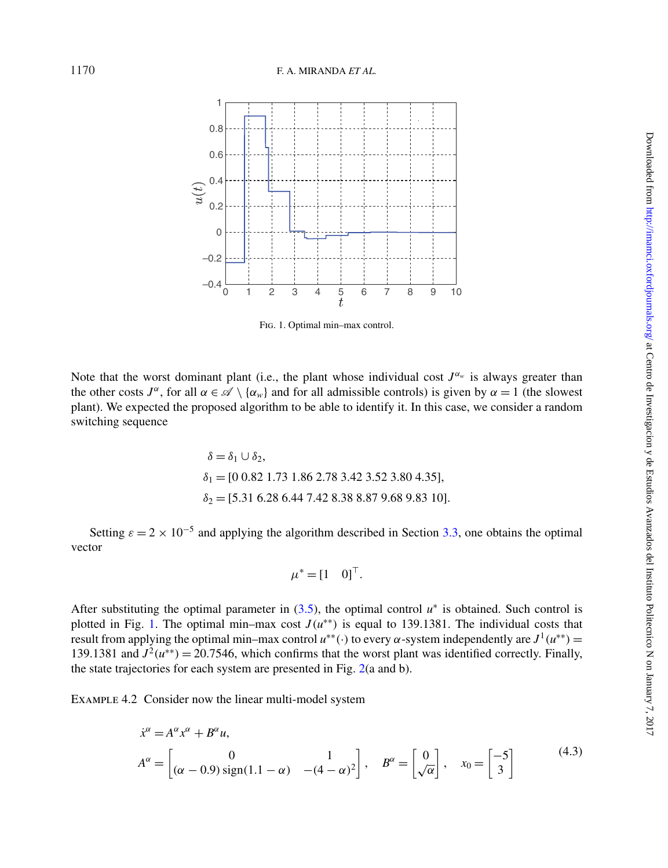

<span id="page-13-0"></span>Fig. 1. Optimal min–max control.

Note that the worst dominant plant (i.e., the plant whose individual cost  $J^{\alpha_w}$  is always greater than the other costs  $J^{\alpha}$ , for all  $\alpha \in \mathcal{A} \setminus \{\alpha_w\}$  and for all admissible controls) is given by  $\alpha = 1$  (the slowest plant). We expected the proposed algorithm to be able to identify it. In this case, we consider a random switching sequence

$$
\delta = \delta_1 \cup \delta_2,
$$
  
\n
$$
\delta_1 = [0 \ 0.82 \ 1.73 \ 1.86 \ 2.78 \ 3.42 \ 3.52 \ 3.80 \ 4.35],
$$
  
\n
$$
\delta_2 = [5.31 \ 6.28 \ 6.44 \ 7.42 \ 8.38 \ 8.87 \ 9.68 \ 9.83 \ 10].
$$

Setting  $\varepsilon = 2 \times 10^{-5}$  and applying the algorithm described in Section [3.3,](#page-10-0) one obtains the optimal vector

<span id="page-13-2"></span>
$$
\mu^* = [1 \quad 0]^\top.
$$

After substituting the optimal parameter in  $(3.5)$ , the optimal control  $u^*$  is obtained. Such control is plotted in Fig. [1.](#page-13-0) The optimal min–max cost  $J(u^{**})$  is equal to 139.1381. The individual costs that result from applying the optimal min–max control  $u^{**}(\cdot)$  to every  $\alpha$ -system independently are  $J^1(u^{**})$  = 139.1381 and  $J^2(u^{**}) = 20.7546$ , which confirms that the worst plant was identified correctly. Finally, the state trajectories for each system are presented in Fig. [2\(](#page-14-0)a and b).

<span id="page-13-1"></span>Example 4.2 Consider now the linear multi-model system

$$
\dot{x}^{\alpha} = A^{\alpha} x^{\alpha} + B^{\alpha} u,
$$
  
\n
$$
A^{\alpha} = \begin{bmatrix} 0 & 1 \\ (\alpha - 0.9) \operatorname{sign}(1.1 - \alpha) & -(4 - \alpha)^{2} \end{bmatrix}, \quad B^{\alpha} = \begin{bmatrix} 0 \\ \sqrt{\alpha} \end{bmatrix}, \quad x_{0} = \begin{bmatrix} -5 \\ 3 \end{bmatrix}
$$
\n(4.3)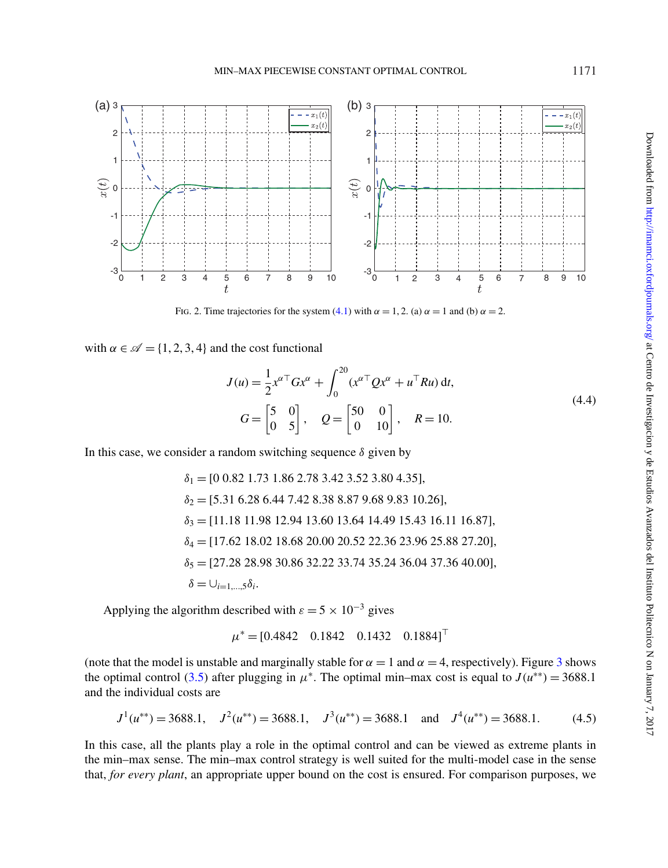

<span id="page-14-0"></span>Fig. 2. Time trajectories for the system [\(4.1\)](#page-12-2) with  $\alpha = 1, 2$ . (a)  $\alpha = 1$  and (b)  $\alpha = 2$ .

with  $\alpha \in \mathcal{A} = \{1, 2, 3, 4\}$  and the cost functional

$$
J(u) = \frac{1}{2} x^{\alpha \top} G x^{\alpha} + \int_0^{20} (x^{\alpha \top} Q x^{\alpha} + u^{\top} R u) dt,
$$
  
\n
$$
G = \begin{bmatrix} 5 & 0 \\ 0 & 5 \end{bmatrix}, \quad Q = \begin{bmatrix} 50 & 0 \\ 0 & 10 \end{bmatrix}, \quad R = 10.
$$
\n(4.4)

In this case, we consider a random switching sequence  $\delta$  given by

$$
\delta_1 = [0 0.82 1.73 1.86 2.78 3.42 3.52 3.80 4.35],
$$
  
\n
$$
\delta_2 = [5.31 6.28 6.44 7.42 8.38 8.87 9.68 9.83 10.26],
$$
  
\n
$$
\delta_3 = [11.18 11.98 12.94 13.60 13.64 14.49 15.43 16.11 16.87],
$$
  
\n
$$
\delta_4 = [17.62 18.02 18.68 20.00 20.52 22.36 23.96 25.88 27.20],
$$
  
\n
$$
\delta_5 = [27.28 28.98 30.86 32.22 33.74 35.24 36.04 37.36 40.00],
$$
  
\n
$$
\delta = \bigcup_{i=1,\dots,5} \delta_i.
$$

Applying the algorithm described with  $\varepsilon = 5 \times 10^{-3}$  gives

$$
\mu^* = [0.4842 \quad 0.1842 \quad 0.1432 \quad 0.1884]^\top
$$

(note that the model is unstable and marginally stable for  $\alpha = 1$  and  $\alpha = 4$ , respectively). Figure [3](#page-15-0) shows the optimal control [\(3.5\)](#page-7-2) after plugging in  $\mu^*$ . The optimal min–max cost is equal to  $J(u^{**}) = 3688.1$ and the individual costs are

<span id="page-14-1"></span>
$$
J^1(u^{**}) = 3688.1
$$
,  $J^2(u^{**}) = 3688.1$ ,  $J^3(u^{**}) = 3688.1$  and  $J^4(u^{**}) = 3688.1$ . (4.5)

In this case, all the plants play a role in the optimal control and can be viewed as extreme plants in the min–max sense. The min–max control strategy is well suited for the multi-model case in the sense that, *for every plant*, an appropriate upper bound on the cost is ensured. For comparison purposes, we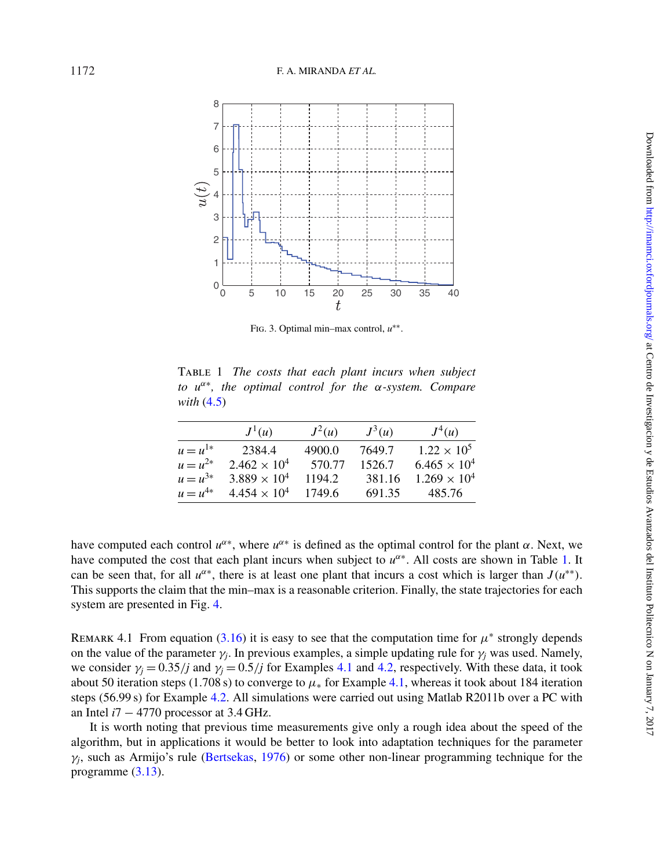

<span id="page-15-1"></span><span id="page-15-0"></span>Fig. 3. Optimal min–max control, *u*∗∗.

Table 1 *The costs that each plant incurs when subject to u*<sup>α</sup>∗*, the optimal control for the* α*-system. Compare with* [\(4.5\)](#page-14-1)

|              | $J^1(u)$              | $J^2(u)$ | $J^3(u)$ | $J^4(u)$              |
|--------------|-----------------------|----------|----------|-----------------------|
| $u = u^{1*}$ | 2384.4                | 4900.0   | 7649.7   | $1.22 \times 10^5$    |
| $u = u^{2*}$ | $2.462 \times 10^{4}$ | 570.77   | 1526.7   | $6.465 \times 10^{4}$ |
| $u = u^{3*}$ | $3.889 \times 10^{4}$ | 1194.2   | 381.16   | $1.269 \times 10^{4}$ |
| $u = u^{4*}$ | $4.454 \times 10^{4}$ | 1749.6   | 691.35   | 485.76                |
|              |                       |          |          |                       |

have computed each control  $u^{\alpha*}$ , where  $u^{\alpha*}$  is defined as the optimal control for the plant  $\alpha$ . Next, we have computed the cost that each plant incurs when subject to *u*<sup>α∗</sup>. All costs are shown in Table [1.](#page-15-1) It can be seen that, for all  $u^{\alpha*}$ , there is at least one plant that incurs a cost which is larger than  $J(u^{**})$ . This supports the claim that the min–max is a reasonable criterion. Finally, the state trajectories for each system are presented in Fig. [4.](#page-16-0)

REMARK 4.1 From equation [\(3.16\)](#page-11-1) it is easy to see that the computation time for  $\mu^*$  strongly depends on the value of the parameter  $\gamma_i$ . In previous examples, a simple updating rule for  $\gamma_i$  was used. Namely, we consider  $\gamma_i = 0.35/j$  and  $\gamma_i = 0.5/j$  for Examples [4.1](#page-12-3) and [4.2,](#page-13-1) respectively. With these data, it took about 50 iteration steps (1.708 s) to converge to  $\mu_*$  for Example [4.1,](#page-12-3) whereas it took about 184 iteration steps (56.99 s) for Example [4.2.](#page-13-1) All simulations were carried out using Matlab R2011b over a PC with an Intel *i*7 − 4770 processor at 3.4 GHz.

It is worth noting that previous time measurements give only a rough idea about the speed of the algorithm, but in applications it would be better to look into adaptation techniques for the parameter  $\gamma_i$ , such as Armijo's rule [\(Bertsekas,](#page-17-21) [1976\)](#page-17-21) or some other non-linear programming technique for the programme [\(3.13\)](#page-9-3).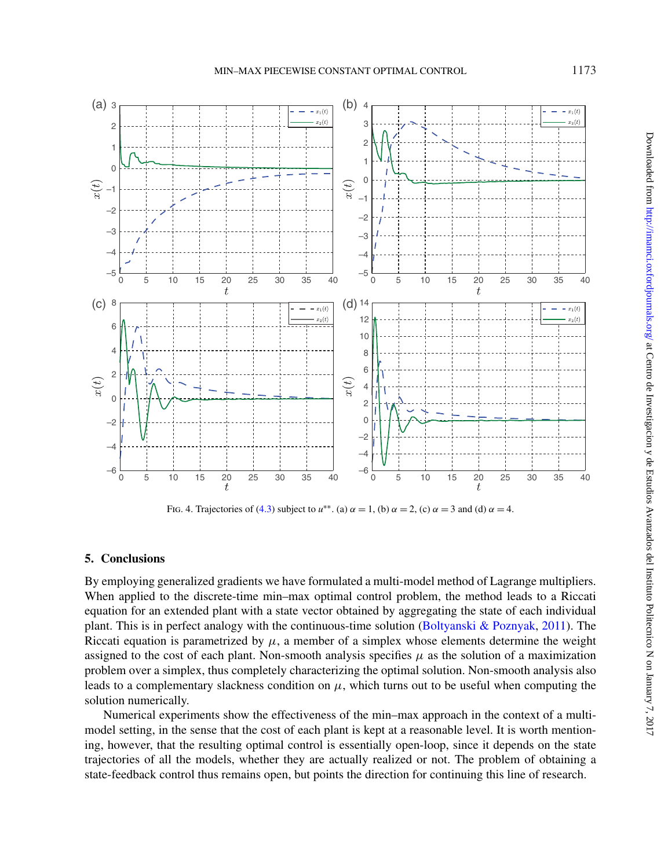

<span id="page-16-0"></span>Fig. 4. Trajectories of [\(4.3\)](#page-13-2) subject to  $u^{**}$ . (a)  $\alpha = 1$ , (b)  $\alpha = 2$ , (c)  $\alpha = 3$  and (d)  $\alpha = 4$ .

## **5. Conclusions**

By employing generalized gradients we have formulated a multi-model method of Lagrange multipliers. When applied to the discrete-time min–max optimal control problem, the method leads to a Riccati equation for an extended plant with a state vector obtained by aggregating the state of each individual plant. This is in perfect analogy with the continuous-time solution [\(Boltyanski & Poznyak,](#page-17-0) [2011\)](#page-17-0). The Riccati equation is parametrized by  $\mu$ , a member of a simplex whose elements determine the weight assigned to the cost of each plant. Non-smooth analysis specifies  $\mu$  as the solution of a maximization problem over a simplex, thus completely characterizing the optimal solution. Non-smooth analysis also leads to a complementary slackness condition on  $\mu$ , which turns out to be useful when computing the solution numerically.

Numerical experiments show the effectiveness of the min–max approach in the context of a multimodel setting, in the sense that the cost of each plant is kept at a reasonable level. It is worth mentioning, however, that the resulting optimal control is essentially open-loop, since it depends on the state trajectories of all the models, whether they are actually realized or not. The problem of obtaining a state-feedback control thus remains open, but points the direction for continuing this line of research.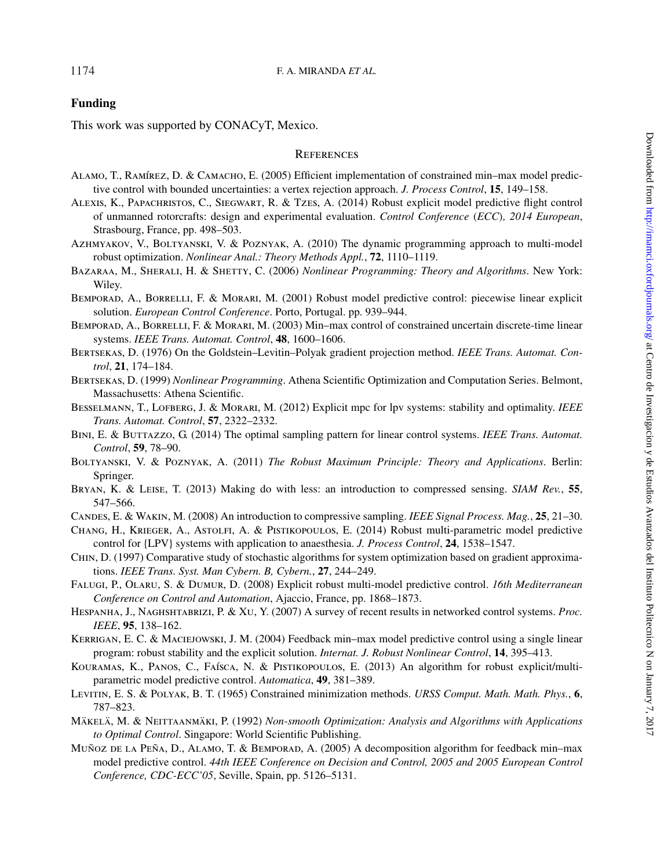# **Funding**

This work was supported by CONACyT, Mexico.

## **REFERENCES**

- <span id="page-17-6"></span>ALAMO, T., RAMÍREZ, D. & CAMACHO, E. (2005) Efficient implementation of constrained min–max model predictive control with bounded uncertainties: a vertex rejection approach. *J. Process Control*, **15**, 149–158.
- <span id="page-17-7"></span>Alexis, K., Papachristos, C., Siegwart, R. & Tzes, A. (2014) Robust explicit model predictive flight control of unmanned rotorcrafts: design and experimental evaluation. *Control Conference* (*ECC*)*, 2014 European*, Strasbourg, France, pp. 498–503.
- <span id="page-17-1"></span>Azhmyakov, V., Boltyanski, V. & Poznyak, A. (2010) The dynamic programming approach to multi-model robust optimization. *Nonlinear Anal.: Theory Methods Appl.*, **72**, 1110–1119.
- <span id="page-17-16"></span>Bazaraa, M., Sherali, H. & Shetty, C. (2006) *Nonlinear Programming: Theory and Algorithms*. New York: Wiley.
- <span id="page-17-4"></span>Bemporad, A., Borrelli, F. & Morari, M. (2001) Robust model predictive control: piecewise linear explicit solution. *European Control Conference*. Porto, Portugal. pp. 939–944.
- <span id="page-17-3"></span>BEMPORAD, A., BORRELLI, F. & MORARI, M. (2003) Min–max control of constrained uncertain discrete-time linear systems. *IEEE Trans. Automat. Control*, **48**, 1600–1606.
- <span id="page-17-21"></span>Bertsekas, D. (1976) On the Goldstein–Levitin–Polyak gradient projection method. *IEEE Trans. Automat. Control*, **21**, 174–184.
- <span id="page-17-20"></span>Bertsekas, D. (1999) *Nonlinear Programming*. Athena Scientific Optimization and Computation Series. Belmont, Massachusetts: Athena Scientific.
- <span id="page-17-2"></span>Besselmann, T., Lofberg, J. & Morari, M. (2012) Explicit mpc for lpv systems: stability and optimality. *IEEE Trans. Automat. Control*, **57**, 2322–2332.
- <span id="page-17-13"></span>Bini, E. & Buttazzo, G. (2014) The optimal sampling pattern for linear control systems. *IEEE Trans. Automat. Control*, **59**, 78–90.
- <span id="page-17-0"></span>Boltyanski, V. & Poznyak, A. (2011) *The Robust Maximum Principle: Theory and Applications*. Berlin: Springer.
- <span id="page-17-15"></span>Bryan, K. & Leise, T. (2013) Making do with less: an introduction to compressed sensing. *SIAM Rev.*, **55**, 547–566.
- <span id="page-17-14"></span>Candes, E. & Wakin, M. (2008) An introduction to compressive sampling. *IEEE Signal Process. Mag.*, **25**, 21–30.
- <span id="page-17-11"></span>Chang, H., Krieger, A., Astolfi, A. & Pistikopoulos, E. (2014) Robust multi-parametric model predictive control for {LPV} systems with application to anaesthesia. *J. Process Control*, **24**, 1538–1547.
- <span id="page-17-19"></span>Chin, D. (1997) Comparative study of stochastic algorithms for system optimization based on gradient approximations. *IEEE Trans. Syst. Man Cybern. B, Cybern.*, **27**, 244–249.
- <span id="page-17-9"></span>Falugi, P., Olaru, S. & Dumur, D. (2008) Explicit robust multi-model predictive control. *16th Mediterranean Conference on Control and Automation*, Ajaccio, France, pp. 1868–1873.
- <span id="page-17-12"></span>Hespanha, J., Naghshtabrizi, P. & Xu, Y. (2007) A survey of recent results in networked control systems. *Proc. IEEE*, **95**, 138–162.
- <span id="page-17-5"></span>Kerrigan, E. C. & Maciejowski, J. M. (2004) Feedback min–max model predictive control using a single linear program: robust stability and the explicit solution. *Internat. J. Robust Nonlinear Control*, **14**, 395–413.
- <span id="page-17-10"></span>Kouramas, K., Panos, C., Faísca, N. & Pistikopoulos, E. (2013) An algorithm for robust explicit/multiparametric model predictive control. *Automatica*, **49**, 381–389.
- <span id="page-17-18"></span>Levitin, E. S. & Polyak, B. T. (1965) Constrained minimization methods. *URSS Comput. Math. Math. Phys.*, **6**, 787–823.
- <span id="page-17-17"></span>Mäkelä, M. & Neittaanmäki, P. (1992) *Non-smooth Optimization: Analysis and Algorithms with Applications to Optimal Control*. Singapore: World Scientific Publishing.
- <span id="page-17-8"></span>Muñoz de la Peña, D., Alamo, T. & Bemporad, A. (2005) A decomposition algorithm for feedback min–max model predictive control. *44th IEEE Conference on Decision and Control, 2005 and 2005 European Control Conference, CDC-ECC'05*, Seville, Spain, pp. 5126–5131.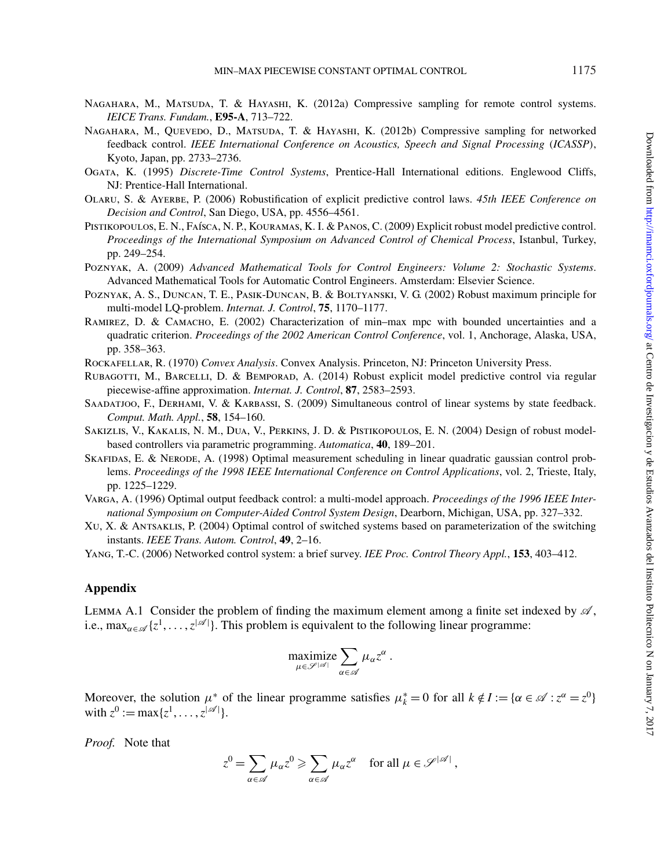- <span id="page-18-8"></span>NAGAHARA, M., MATSUDA, T. & HAYASHI, K. (2012a) Compressive sampling for remote control systems. *IEICE Trans. Fundam.*, **E95-A**, 713–722.
- <span id="page-18-9"></span>NAGAHARA, M., QUEVEDO, D., MATSUDA, T. & HAYASHI, K. (2012b) Compressive sampling for networked feedback control. *IEEE International Conference on Acoustics, Speech and Signal Processing* (*ICASSP*), Kyoto, Japan, pp. 2733–2736.
- <span id="page-18-14"></span>Ogata, K. (1995) *Discrete-Time Control Systems*, Prentice-Hall International editions. Englewood Cliffs, NJ: Prentice-Hall International.
- <span id="page-18-4"></span>Olaru, S. & Ayerbe, P. (2006) Robustification of explicit predictive control laws. *45th IEEE Conference on Decision and Control*, San Diego, USA, pp. 4556–4561.
- <span id="page-18-6"></span>Pistikopoulos, E. N., Faísca, N. P., Kouramas, K. I. & Panos, C. (2009) Explicit robust model predictive control. *Proceedings of the International Symposium on Advanced Control of Chemical Process*, Istanbul, Turkey, pp. 249–254.
- <span id="page-18-13"></span>Poznyak, A. (2009) *Advanced Mathematical Tools for Control Engineers: Volume 2: Stochastic Systems*. Advanced Mathematical Tools for Automatic Control Engineers. Amsterdam: Elsevier Science.
- <span id="page-18-1"></span>Poznyak, A. S., Duncan, T. E., Pasik-Duncan, B. & Boltyanski, V. G. (2002) Robust maximum principle for multi-model LQ-problem. *Internat. J. Control*, **75**, 1170–1177.
- <span id="page-18-2"></span>RAMIREZ, D. & CAMACHO, E. (2002) Characterization of min-max mpc with bounded uncertainties and a quadratic criterion. *Proceedings of the 2002 American Control Conference*, vol. 1, Anchorage, Alaska, USA, pp. 358–363.
- <span id="page-18-16"></span>Rockafellar, R. (1970) *Convex Analysis*. Convex Analysis. Princeton, NJ: Princeton University Press.
- <span id="page-18-5"></span>RUBAGOTTI, M., BARCELLI, D. & BEMPORAD, A. (2014) Robust explicit model predictive control via regular piecewise-affine approximation. *Internat. J. Control*, **87**, 2583–2593.
- <span id="page-18-10"></span>Saadatjoo, F., Derhami, V. & Karbassi, S. (2009) Simultaneous control of linear systems by state feedback. *Comput. Math. Appl.*, **58**, 154–160.
- <span id="page-18-3"></span>Sakizlis, V., Kakalis, N. M., Dua, V., Perkins, J. D. & Pistikopoulos, E. N. (2004) Design of robust modelbased controllers via parametric programming. *Automatica*, **40**, 189–201.
- <span id="page-18-11"></span>Skafidas, E. & Nerode, A. (1998) Optimal measurement scheduling in linear quadratic gaussian control problems. *Proceedings of the 1998 IEEE International Conference on Control Applications*, vol. 2, Trieste, Italy, pp. 1225–1229.
- <span id="page-18-0"></span>Varga, A. (1996) Optimal output feedback control: a multi-model approach. *Proceedings of the 1996 IEEE International Symposium on Computer-Aided Control System Design*, Dearborn, Michigan, USA, pp. 327–332.
- <span id="page-18-12"></span>Xu, X. & Antsaklis, P. (2004) Optimal control of switched systems based on parameterization of the switching instants. *IEEE Trans. Autom. Control*, **49**, 2–16.
- <span id="page-18-7"></span>Yang, T.-C. (2006) Networked control system: a brief survey. *IEE Proc. Control Theory Appl.*, **153**, 403–412.

### <span id="page-18-15"></span>**Appendix**

LEMMA A.1 Consider the problem of finding the maximum element among a finite set indexed by  $\mathscr{A}$ , i.e.,  $\max_{\alpha \in \mathscr{A}} \{z^1, \dots, z^{|\mathscr{A}|}\}\)$ . This problem is equivalent to the following linear programme:

$$
\underset{\mu \in \mathscr{S}}{\text{maximize}} \sum_{\alpha \in \mathscr{A}} \mu_{\alpha} z^{\alpha} .
$$

Moreover, the solution  $\mu^*$  of the linear programme satisfies  $\mu^*_k = 0$  for all  $k \notin I := {\alpha \in \mathcal{A} : z^{\alpha} = z^0}$ with  $z^0 := \max\{z^1, \ldots, z^{|\mathcal{A}|}\}.$ 

*Proof.* Note that

$$
z^0 = \sum_{\alpha \in \mathscr{A}} \mu_\alpha z^0 \geqslant \sum_{\alpha \in \mathscr{A}} \mu_\alpha z^\alpha \quad \text{for all } \mu \in \mathscr{S}^{|\mathscr{A}|},
$$